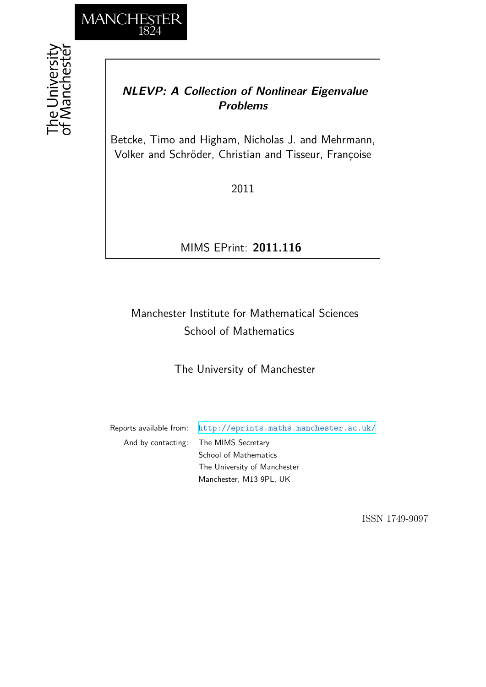

# *NLEVP: A Collection of Nonlinear Eigenvalue Problems*

Betcke, Timo and Higham, Nicholas J. and Mehrmann, Volker and Schröder, Christian and Tisseur, Françoise

2011

# MIMS EPrint: **2011.116**

# Manchester Institute for Mathematical Sciences School of Mathematics

## The University of Manchester

Reports available from: <http://eprints.maths.manchester.ac.uk/> And by contacting: The MIMS Secretary School of Mathematics The University of Manchester Manchester, M13 9PL, UK

ISSN 1749-9097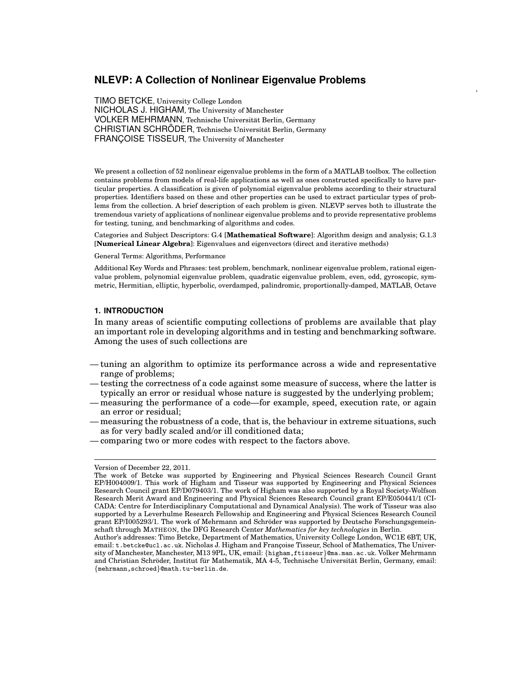### **NLEVP: A Collection of Nonlinear Eigenvalue Problems**

TIMO BETCKE, University College London NICHOLAS J. HIGHAM, The University of Manchester VOLKER MEHRMANN, Technische Universitat Berlin, Germany ¨ CHRISTIAN SCHRÖDER, Technische Universität Berlin, Germany FRANÇOISE TISSEUR, The University of Manchester

We present a collection of 52 nonlinear eigenvalue problems in the form of a MATLAB toolbox. The collection contains problems from models of real-life applications as well as ones constructed specifically to have particular properties. A classification is given of polynomial eigenvalue problems according to their structural properties. Identifiers based on these and other properties can be used to extract particular types of problems from the collection. A brief description of each problem is given. NLEVP serves both to illustrate the tremendous variety of applications of nonlinear eigenvalue problems and to provide representative problems for testing, tuning, and benchmarking of algorithms and codes.

Categories and Subject Descriptors: G.4 [**Mathematical Software**]: Algorithm design and analysis; G.1.3 [**Numerical Linear Algebra**]: Eigenvalues and eigenvectors (direct and iterative methods)

#### General Terms: Algorithms, Performance

Additional Key Words and Phrases: test problem, benchmark, nonlinear eigenvalue problem, rational eigenvalue problem, polynomial eigenvalue problem, quadratic eigenvalue problem, even, odd, gyroscopic, symmetric, Hermitian, elliptic, hyperbolic, overdamped, palindromic, proportionally-damped, MATLAB, Octave

#### **1. INTRODUCTION**

In many areas of scientific computing collections of problems are available that play an important role in developing algorithms and in testing and benchmarking software. Among the uses of such collections are

- tuning an algorithm to optimize its performance across a wide and representative range of problems;
- testing the correctness of a code against some measure of success, where the latter is typically an error or residual whose nature is suggested by the underlying problem;
- measuring the performance of a code—for example, speed, execution rate, or again an error or residual;
- measuring the robustness of a code, that is, the behaviour in extreme situations, such as for very badly scaled and/or ill conditioned data;
- comparing two or more codes with respect to the factors above.

Version of December 22, 2011.

The work of Betcke was supported by Engineering and Physical Sciences Research Council Grant EP/H004009/1. This work of Higham and Tisseur was supported by Engineering and Physical Sciences Research Council grant EP/D079403/1. The work of Higham was also supported by a Royal Society-Wolfson Research Merit Award and Engineering and Physical Sciences Research Council grant EP/E050441/1 (CI-CADA: Centre for Interdisciplinary Computational and Dynamical Analysis). The work of Tisseur was also supported by a Leverhulme Research Fellowship and Engineering and Physical Sciences Research Council grant EP/I005293/1. The work of Mehrmann and Schröder was supported by Deutsche Forschungsgemeinschaft through MATHEON, the DFG Research Center *Mathematics for key technologies* in Berlin.

Author's addresses: Timo Betcke, Department of Mathematics, University College London, WC1E 6BT, UK, email: t.betcke@ucl.ac.uk. Nicholas J. Higham and Françoise Tisseur, School of Mathematics, The University of Manchester, Manchester, M13 9PL, UK, email: {higham,ftisseur}@ma.man.ac.uk. Volker Mehrmann and Christian Schröder, Institut für Mathematik, MA 4-5, Technische Universität Berlin, Germany, email: {mehrmann,schroed}@math.tu-berlin.de.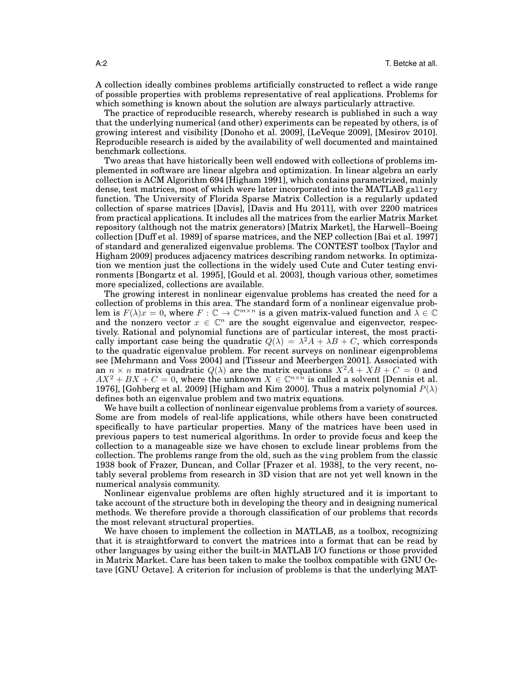A collection ideally combines problems artificially constructed to reflect a wide range of possible properties with problems representative of real applications. Problems for which something is known about the solution are always particularly attractive.

The practice of reproducible research, whereby research is published in such a way that the underlying numerical (and other) experiments can be repeated by others, is of growing interest and visibility [Donoho et al. 2009], [LeVeque 2009], [Mesirov 2010]. Reproducible research is aided by the availability of well documented and maintained benchmark collections.

Two areas that have historically been well endowed with collections of problems implemented in software are linear algebra and optimization. In linear algebra an early collection is ACM Algorithm 694 [Higham 1991], which contains parametrized, mainly dense, test matrices, most of which were later incorporated into the MATLAB gallery function. The University of Florida Sparse Matrix Collection is a regularly updated collection of sparse matrices [Davis], [Davis and Hu 2011], with over 2200 matrices from practical applications. It includes all the matrices from the earlier Matrix Market repository (although not the matrix generators) [Matrix Market], the Harwell–Boeing collection [Duff et al. 1989] of sparse matrices, and the NEP collection [Bai et al. 1997] of standard and generalized eigenvalue problems. The CONTEST toolbox [Taylor and Higham 2009] produces adjacency matrices describing random networks. In optimization we mention just the collections in the widely used Cute and Cuter testing environments [Bongartz et al. 1995], [Gould et al. 2003], though various other, sometimes more specialized, collections are available.

The growing interest in nonlinear eigenvalue problems has created the need for a collection of problems in this area. The standard form of a nonlinear eigenvalue problem is  $F(\lambda)x = 0$ , where  $F : \mathbb{C} \to \mathbb{C}^{m \times n}$  is a given matrix-valued function and  $\lambda \in \mathbb{C}$ and the nonzero vector  $x \in \mathbb{C}^n$  are the sought eigenvalue and eigenvector, respectively. Rational and polynomial functions are of particular interest, the most practically important case being the quadratic  $Q(\lambda) = \lambda^2 A + \lambda B + C$ , which corresponds to the quadratic eigenvalue problem. For recent surveys on nonlinear eigenproblems see [Mehrmann and Voss 2004] and [Tisseur and Meerbergen 2001]. Associated with an  $n \times n$  matrix quadratic  $Q(\lambda)$  are the matrix equations  $X^2A + XB + C = 0$  and  $AX^{2} + BX + C = 0$ , where the unknown  $X \in \mathbb{C}^{n \times n}$  is called a solvent [Dennis et al. 1976], [Gohberg et al. 2009] [Higham and Kim 2000]. Thus a matrix polynomial  $P(\lambda)$ defines both an eigenvalue problem and two matrix equations.

We have built a collection of nonlinear eigenvalue problems from a variety of sources. Some are from models of real-life applications, while others have been constructed specifically to have particular properties. Many of the matrices have been used in previous papers to test numerical algorithms. In order to provide focus and keep the collection to a manageable size we have chosen to exclude linear problems from the collection. The problems range from the old, such as the wing problem from the classic 1938 book of Frazer, Duncan, and Collar [Frazer et al. 1938], to the very recent, notably several problems from research in 3D vision that are not yet well known in the numerical analysis community.

Nonlinear eigenvalue problems are often highly structured and it is important to take account of the structure both in developing the theory and in designing numerical methods. We therefore provide a thorough classification of our problems that records the most relevant structural properties.

We have chosen to implement the collection in MATLAB, as a toolbox, recognizing that it is straightforward to convert the matrices into a format that can be read by other languages by using either the built-in MATLAB I/O functions or those provided in Matrix Market. Care has been taken to make the toolbox compatible with GNU Octave [GNU Octave]. A criterion for inclusion of problems is that the underlying MAT-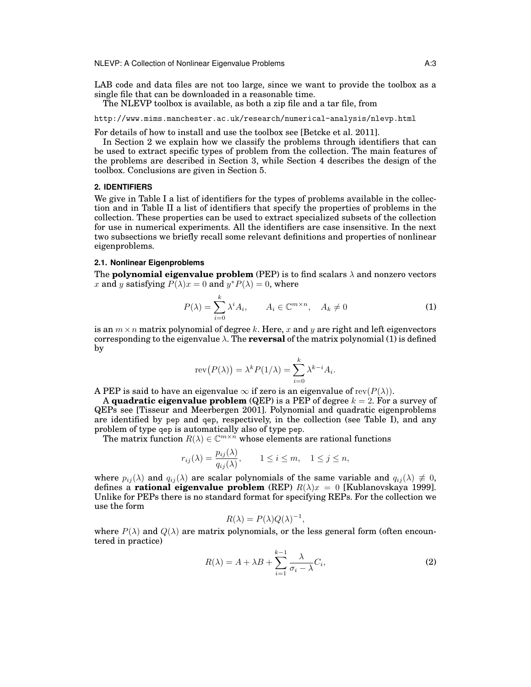NLEVP: A Collection of Nonlinear Eigenvalue Problems **A:3** A:3

LAB code and data files are not too large, since we want to provide the toolbox as a single file that can be downloaded in a reasonable time.

The NLEVP toolbox is available, as both a zip file and a tar file, from

http://www.mims.manchester.ac.uk/research/numerical-analysis/nlevp.html

For details of how to install and use the toolbox see [Betcke et al. 2011].

In Section 2 we explain how we classify the problems through identifiers that can be used to extract specific types of problem from the collection. The main features of the problems are described in Section 3, while Section 4 describes the design of the toolbox. Conclusions are given in Section 5.

#### **2. IDENTIFIERS**

We give in Table I a list of identifiers for the types of problems available in the collection and in Table II a list of identifiers that specify the properties of problems in the collection. These properties can be used to extract specialized subsets of the collection for use in numerical experiments. All the identifiers are case insensitive. In the next two subsections we briefly recall some relevant definitions and properties of nonlinear eigenproblems.

#### **2.1. Nonlinear Eigenproblems**

The **polynomial eigenvalue problem** (PEP) is to find scalars  $\lambda$  and nonzero vectors x and y satisfying  $\overline{P(\lambda)}x = 0$  and  $y^*P(\lambda) = 0$ , where

$$
P(\lambda) = \sum_{i=0}^{k} \lambda^{i} A_{i}, \qquad A_{i} \in \mathbb{C}^{m \times n}, \quad A_{k} \neq 0
$$
 (1)

is an  $m \times n$  matrix polynomial of degree k. Here, x and y are right and left eigenvectors corresponding to the eigenvalue  $\lambda$ . The **reversal** of the matrix polynomial (1) is defined by

$$
rev(P(\lambda)) = \lambda^k P(1/\lambda) = \sum_{i=0}^k \lambda^{k-i} A_i.
$$

A PEP is said to have an eigenvalue  $\infty$  if zero is an eigenvalue of  $rev(P(\lambda))$ .

A **quadratic eigenvalue problem** (QEP) is a PEP of degree  $k = 2$ . For a survey of QEPs see [Tisseur and Meerbergen 2001]. Polynomial and quadratic eigenproblems are identified by pep and qep, respectively, in the collection (see Table I), and any problem of type qep is automatically also of type pep.

The matrix function  $R(\lambda) \in \mathbb{C}^{m \times n}$  whose elements are rational functions

$$
r_{ij}(\lambda) = \frac{p_{ij}(\lambda)}{q_{ij}(\lambda)}, \qquad 1 \le i \le m, \quad 1 \le j \le n,
$$

where  $p_{ij}(\lambda)$  and  $q_{ij}(\lambda)$  are scalar polynomials of the same variable and  $q_{ij}(\lambda) \neq 0$ , defines a **rational eigenvalue problem** (REP)  $R(\lambda)x = 0$  [Kublanovskaya 1999]. Unlike for PEPs there is no standard format for specifying REPs. For the collection we use the form

$$
R(\lambda) = P(\lambda)Q(\lambda)^{-1},
$$

where  $P(\lambda)$  and  $Q(\lambda)$  are matrix polynomials, or the less general form (often encountered in practice)

$$
R(\lambda) = A + \lambda B + \sum_{i=1}^{k-1} \frac{\lambda}{\sigma_i - \lambda} C_i,
$$
\n(2)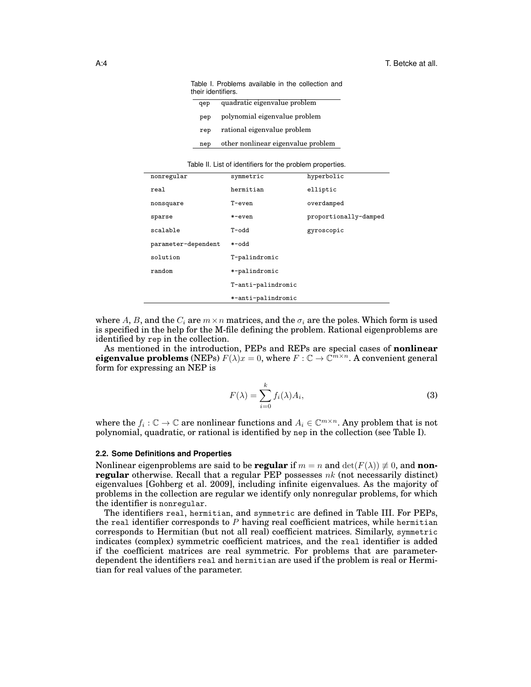| ושווט וו וויטשוט טווי שמשוועש שווטשטו ו וויס<br>their identifiers. |                                    |  |  |  |
|--------------------------------------------------------------------|------------------------------------|--|--|--|
| qep                                                                | quadratic eigenvalue problem       |  |  |  |
| pep                                                                | polynomial eigenvalue problem      |  |  |  |
| rep                                                                | rational eigenvalue problem        |  |  |  |
| nep                                                                | other nonlinear eigenvalue problem |  |  |  |

Table I. Problems available in the collection and

Table II. List of identifiers for the problem properties.

| nonregular          | symmetric          | hyperbolic            |
|---------------------|--------------------|-----------------------|
| real                | hermitian          | elliptic              |
| nonsquare           | $T$ -even          | overdamped            |
| sparse              | *-even             | proportionally-damped |
| scalable            | hho-T              | gyroscopic            |
| parameter-dependent | *-odd              |                       |
| solution            | T-palindromic      |                       |
| random              | *-palindromic      |                       |
|                     | T-anti-palindromic |                       |
|                     | *-anti-palindromic |                       |

where A, B, and the  $C_i$  are  $m \times n$  matrices, and the  $\sigma_i$  are the poles. Which form is used is specified in the help for the M-file defining the problem. Rational eigenproblems are identified by rep in the collection.

As mentioned in the introduction, PEPs and REPs are special cases of **nonlinear eigenvalue problems** (NEPs)  $F(\lambda)x = 0$ , where  $F : \mathbb{C} \to \mathbb{C}^{m \times n}$ . A convenient general form for expressing an NEP is

$$
F(\lambda) = \sum_{i=0}^{k} f_i(\lambda) A_i,
$$
\n(3)

where the  $f_i: \mathbb{C} \to \mathbb{C}$  are nonlinear functions and  $A_i \in \mathbb{C}^{m \times n}$ . Any problem that is not polynomial, quadratic, or rational is identified by nep in the collection (see Table I).

#### **2.2. Some Definitions and Properties**

Nonlinear eigenproblems are said to be **regular** if  $m = n$  and  $\det(F(\lambda)) \neq 0$ , and **nonregular** otherwise. Recall that a regular PEP possesses  $nk$  (not necessarily distinct) eigenvalues [Gohberg et al. 2009], including infinite eigenvalues. As the majority of problems in the collection are regular we identify only nonregular problems, for which the identifier is nonregular.

The identifiers real, hermitian, and symmetric are defined in Table III. For PEPs, the real identifier corresponds to  $P$  having real coefficient matrices, while hermitian corresponds to Hermitian (but not all real) coefficient matrices. Similarly, symmetric indicates (complex) symmetric coefficient matrices, and the real identifier is added if the coefficient matrices are real symmetric. For problems that are parameterdependent the identifiers real and hermitian are used if the problem is real or Hermitian for real values of the parameter.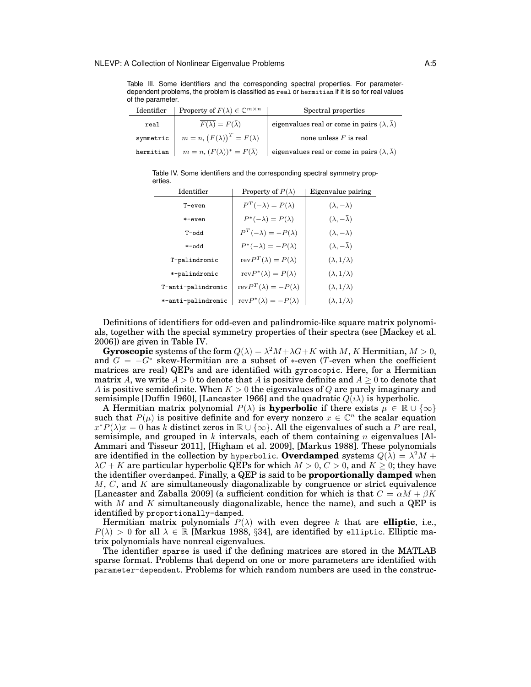Table III. Some identifiers and the corresponding spectral properties. For parameterdependent problems, the problem is classified as real or hermitian if it is so for real values of the parameter.

| Identifier | Property of $F(\lambda) \in \mathbb{C}^{m \times n}$ | Spectral properties                                          |
|------------|------------------------------------------------------|--------------------------------------------------------------|
| real       | $F(\overline{\lambda})=F(\overline{\lambda})$        | eigenvalues real or come in pairs $(\lambda, \bar{\lambda})$ |
| symmetric  | $m = n, (F(\lambda))^{T} = F(\lambda)$               | none unless $F$ is real                                      |
| hermitian  | $m = n$ , $(F(\lambda))^* = F(\overline{\lambda})$   | eigenvalues real or come in pairs $(\lambda, \bar{\lambda})$ |

Table IV. Some identifiers and the corresponding spectral symmetry properties.

| Identifier         | Property of $P(\lambda)$                 | Eigenvalue pairing                |
|--------------------|------------------------------------------|-----------------------------------|
| T-even             | $P^T(-\lambda) = P(\lambda)$             | $(\lambda, -\lambda)$             |
| *-even             | $P^*(-\lambda) = P(\lambda)$             | $(\lambda, -\lambda)$             |
| hho-T              | $P^{T}(-\lambda) = -P(\lambda)$          | $(\lambda, -\lambda)$             |
| hho-*              | $P^*(-\lambda) = -P(\lambda)$            | $(\lambda, -\overline{\lambda})$  |
| T-palindromic      | $revP^{T}(\lambda) = P(\lambda)$         | $(\lambda, 1/\lambda)$            |
| *-palindromic      | $revP^*(\lambda) = P(\lambda)$           | $(\lambda, 1/\overline{\lambda})$ |
| T-anti-palindromic | $\text{rev}P^{T}(\lambda) = -P(\lambda)$ | $(\lambda, 1/\lambda)$            |
| *-anti-palindromic | $revP^*(\lambda) = -P(\lambda)$          | $(\lambda, 1/\lambda)$            |

Definitions of identifiers for odd-even and palindromic-like square matrix polynomials, together with the special symmetry properties of their spectra (see [Mackey et al. 2006]) are given in Table IV.

**Gyroscopic** systems of the form  $Q(\lambda) = \lambda^2 M + \lambda G + K$  with M, K Hermitian,  $M > 0$ , and  $G = -G^*$  skew-Hermitian are a subset of \*-even (T-even when the coefficient matrices are real) QEPs and are identified with gyroscopic. Here, for a Hermitian matrix A, we write  $A > 0$  to denote that A is positive definite and  $A > 0$  to denote that A is positive semidefinite. When  $K > 0$  the eigenvalues of Q are purely imaginary and semisimple [Duffin 1960], [Lancaster 1966] and the quadratic  $Q(i\lambda)$  is hyperbolic.

A Hermitian matrix polynomial  $P(\lambda)$  is **hyperbolic** if there exists  $\mu \in \mathbb{R} \cup \{\infty\}$ such that  $P(\mu)$  is positive definite and for every nonzero  $x \in \mathbb{C}^n$  the scalar equation  $x^*P(\lambda)x = 0$  has k distinct zeros in  $\mathbb{R} \cup \{\infty\}$ . All the eigenvalues of such a P are real, semisimple, and grouped in k intervals, each of them containing n eigenvalues [Al-Ammari and Tisseur 2011], [Higham et al. 2009], [Markus 1988]. These polynomials are identified in the collection by hyperbolic.  $\textbf{Overdamped}$  systems  $Q(\tilde{\lambda}) = \lambda^2 M +$  $\lambda C + K$  are particular hyperbolic QEPs for which  $M > 0, C > 0$ , and  $K \geq 0$ ; they have the identifier overdamped. Finally, a QEP is said to be **proportionally damped** when  $M, C$ , and  $K$  are simultaneously diagonalizable by congruence or strict equivalence [Lancaster and Zaballa 2009] (a sufficient condition for which is that  $C = \alpha M + \beta K$ with M and K simultaneously diagonalizable, hence the name), and such a QEP is identified by proportionally-damped.

Hermitian matrix polynomials  $P(\lambda)$  with even degree k that are **elliptic**, i.e.,  $P(\lambda) > 0$  for all  $\lambda \in \mathbb{R}$  [Markus 1988, §34], are identified by elliptic. Elliptic matrix polynomials have nonreal eigenvalues.

The identifier sparse is used if the defining matrices are stored in the MATLAB sparse format. Problems that depend on one or more parameters are identified with parameter-dependent. Problems for which random numbers are used in the construc-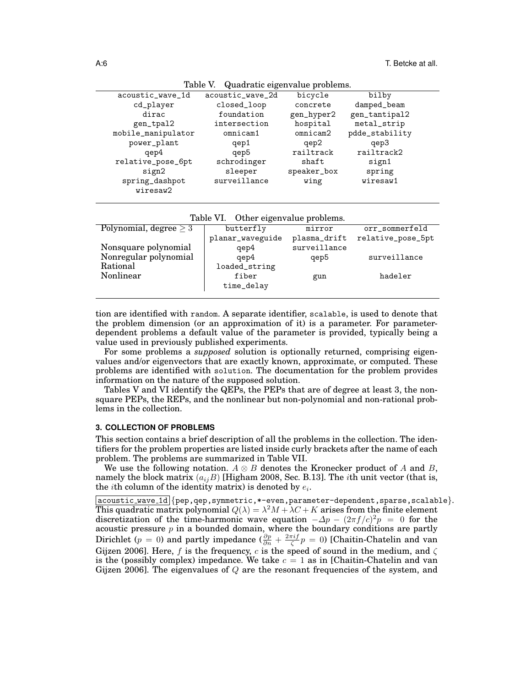|                            | Table v. Quadratic eigenvalue problems. |             |                |  |
|----------------------------|-----------------------------------------|-------------|----------------|--|
| acoustic_wave_1d           | acoustic_wave_2d                        | bicycle     | bilby          |  |
| cd_player                  | closed_loop                             | concrete    | damped_beam    |  |
| dirac                      | foundation                              | gen_hyper2  | gen_tantipal2  |  |
| gen_tpal2                  | intersection                            | hospital    | metal_strip    |  |
| mobile_manipulator         | omnicam1                                | omnicam2    | pdde_stability |  |
| power_plant                | qep1                                    | qep2        | qep3           |  |
| qep4                       | qep5                                    | railtrack   | railtrack2     |  |
| relative_pose_6pt          | schrodinger                             | shaft       | sign1          |  |
| sign2                      | sleeper                                 | speaker_box | spring         |  |
| spring_dashpot<br>wiresaw2 | surveillance                            | wing        | wiresaw1       |  |
|                            |                                         |             |                |  |

Table V. Quadratic eigenvalue problems.

Table VI. Other eigenvalue problems.

| Polynomial, degree $\geq 3$ | butterfly        | mirror       | orr_sommerfeld    |
|-----------------------------|------------------|--------------|-------------------|
|                             | planar_waveguide | plasma_drift | relative_pose_5pt |
| Nonsquare polynomial        | qep4             | surveillance |                   |
| Nonregular polynomial       | qep4             | qep5         | surveillance      |
| Rational                    | loaded_string    |              |                   |
| Nonlinear                   | fiber            | gun          | hadeler           |
|                             | time_delay       |              |                   |
|                             |                  |              |                   |

tion are identified with random. A separate identifier, scalable, is used to denote that the problem dimension (or an approximation of it) is a parameter. For parameterdependent problems a default value of the parameter is provided, typically being a value used in previously published experiments.

For some problems a *supposed* solution is optionally returned, comprising eigenvalues and/or eigenvectors that are exactly known, approximate, or computed. These problems are identified with solution. The documentation for the problem provides information on the nature of the supposed solution.

Tables V and VI identify the QEPs, the PEPs that are of degree at least 3, the nonsquare PEPs, the REPs, and the nonlinear but non-polynomial and non-rational problems in the collection.

#### **3. COLLECTION OF PROBLEMS**

This section contains a brief description of all the problems in the collection. The identifiers for the problem properties are listed inside curly brackets after the name of each problem. The problems are summarized in Table VII.

We use the following notation.  $A \otimes B$  denotes the Kronecker product of A and B, namely the block matrix  $(a_{ij}B)$  [Higham 2008, Sec. B.13]. The *i*th unit vector (that is, the *i*th column of the identity matrix) is denoted by  $e_i$ .

acoustic wave 1d {pep,qep,symmetric,\*-even,parameter-dependent,sparse,scalable}. This quadratic matrix polynomial  $Q(\lambda) = \lambda^2 M + \lambda C + K$  arises from the finite element discretization of the time-harmonic wave equation  $-\Delta p - (2\pi f/c)^2 p = 0$  for the acoustic pressure  $p$  in a bounded domain, where the boundary conditions are partly Dirichlet ( $p = 0$ ) and partly impedance ( $\frac{\partial p}{\partial n} + \frac{2\pi i f}{\zeta} p = 0$ ) [Chaitin-Chatelin and van Gijzen 2006]. Here, f is the frequency, c is the speed of sound in the medium, and  $\zeta$ is the (possibly complex) impedance. We take  $c = 1$  as in [Chaitin-Chatelin and van Gijzen 2006]. The eigenvalues of Q are the resonant frequencies of the system, and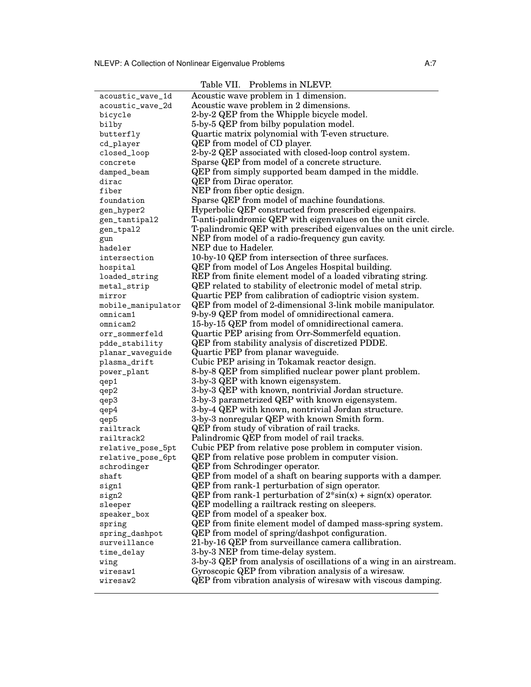| acoustic_wave_1d   | Acoustic wave problem in 1 dimension.                                        |
|--------------------|------------------------------------------------------------------------------|
| acoustic_wave_2d   | Acoustic wave problem in 2 dimensions.                                       |
| bicycle            | 2-by-2 QEP from the Whipple bicycle model.                                   |
| bilby              | 5-by-5 QEP from bilby population model.                                      |
| butterfly          | Quartic matrix polynomial with T-even structure.                             |
| cd_player          | QEP from model of CD player.                                                 |
| closed_loop        | 2-by-2 QEP associated with closed-loop control system.                       |
| concrete           | Sparse QEP from model of a concrete structure.                               |
| damped_beam        | QEP from simply supported beam damped in the middle.                         |
| dirac              | <b>QEP</b> from Dirac operator.                                              |
| fiber              | NEP from fiber optic design.                                                 |
| foundation         | Sparse QEP from model of machine foundations.                                |
| gen_hyper2         | Hyperbolic QEP constructed from prescribed eigenpairs.                       |
| gen_tantipal2      | T-anti-palindromic QEP with eigenvalues on the unit circle.                  |
| gen_tpal2          | T-palindromic QEP with prescribed eigenvalues on the unit circle.            |
| gun                | NEP from model of a radio-frequency gun cavity.                              |
| hadeler            | NEP due to Hadeler.                                                          |
| intersection       | 10-by-10 QEP from intersection of three surfaces.                            |
| hospital           | <b>QEP</b> from model of Los Angeles Hospital building.                      |
| loaded_string      | REP from finite element model of a loaded vibrating string.                  |
| metal_strip        | QEP related to stability of electronic model of metal strip.                 |
| mirror             | Quartic PEP from calibration of cadioptric vision system.                    |
| mobile_manipulator | QEP from model of 2-dimensional 3-link mobile manipulator.                   |
| omnicam1           | 9-by-9 QEP from model of omnidirectional camera.                             |
| omnicam2           | 15-by-15 QEP from model of omnidirectional camera.                           |
|                    | Quartic PEP arising from Orr-Sommerfeld equation.                            |
| orr_sommerfeld     |                                                                              |
| pdde_stability     | QEP from stability analysis of discretized PDDE.                             |
| planar_waveguide   | Quartic PEP from planar waveguide.                                           |
| plasma_drift       | Cubic PEP arising in Tokamak reactor design.                                 |
| power_plant        | 8-by-8 QEP from simplified nuclear power plant problem.                      |
| qep1               | 3-by-3 QEP with known eigensystem.                                           |
| qep2               | 3-by-3 QEP with known, nontrivial Jordan structure.                          |
| qep3               | 3-by-3 parametrized QEP with known eigensystem.                              |
| qep4               | 3-by-4 QEP with known, nontrivial Jordan structure.                          |
| qep5               | 3-by-3 nonregular QEP with known Smith form.                                 |
| railtrack          | QEP from study of vibration of rail tracks.                                  |
| railtrack2         | Palindromic QEP from model of rail tracks.                                   |
| relative_pose_5pt  | Cubic PEP from relative pose problem in computer vision.                     |
| relative_pose_6pt  | QEP from relative pose problem in computer vision.                           |
| schrodinger        | <b>QEP</b> from Schrodinger operator.                                        |
| shaft              | QEP from model of a shaft on bearing supports with a damper.                 |
| sign1              | QEP from rank-1 perturbation of sign operator.                               |
| sign2              | QEP from rank-1 perturbation of $2 \cdot \sin(x) + \text{sign}(x)$ operator. |
| sleeper            | QEP modelling a railtrack resting on sleepers.                               |
| speaker_box        | QEP from model of a speaker box.                                             |
| spring             | QEP from finite element model of damped mass-spring system.                  |
| spring_dashpot     | QEP from model of spring/dashpot configuration.                              |
| surveillance       | 21-by-16 QEP from surveillance camera callibration.                          |
| time_delay         | 3-by-3 NEP from time-delay system.                                           |
| wing               | 3-by-3 QEP from analysis of oscillations of a wing in an airstream.          |
| wiresaw1           | Gyroscopic QEP from vibration analysis of a wiresaw.                         |
| wiresaw2           | QEP from vibration analysis of wiresaw with viscous damping.                 |
|                    |                                                                              |

Table VII. Problems in NLEVP.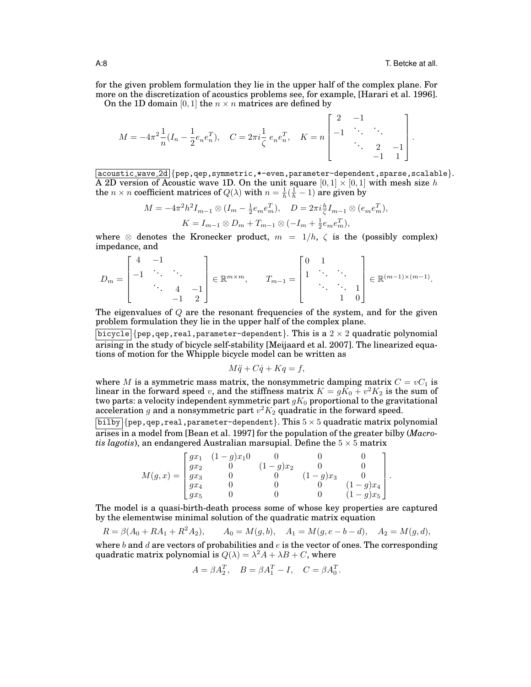for the given problem formulation they lie in the upper half of the complex plane. For more on the discretization of acoustics problems see, for example, [Harari et al. 1996].

On the 1D domain [0, 1] the  $n \times n$  matrices are defined by

$$
M = -4\pi^2 \frac{1}{n} (I_n - \frac{1}{2} e_n e_n^T), \quad C = 2\pi i \frac{1}{\zeta} e_n e_n^T, \quad K = n \begin{bmatrix} 2 & -1 & & \\ -1 & \ddots & \\ & \ddots & \\ & & 2 & -1 \\ & & & -1 & 1 \end{bmatrix}.
$$

acoustic wave 2d {pep,qep,symmetric,\*-even,parameter-dependent,sparse,scalable}. A 2D version of Acoustic wave 1D. On the unit square  $[0,1] \times [0,1]$  with mesh size h the  $n \times n$  coefficient matrices of  $Q(\lambda)$  with  $n = \frac{1}{h}(\frac{1}{h} - 1)$  are given by

$$
M = -4\pi^2 h^2 I_{m-1} \otimes (I_m - \frac{1}{2} e_m e_m^T), \quad D = 2\pi i \frac{h}{\zeta} I_{m-1} \otimes (e_m e_m^T),
$$
  

$$
K = I_{m-1} \otimes D_m + T_{m-1} \otimes (-I_m + \frac{1}{2} e_m e_m^T),
$$

where  $\otimes$  denotes the Kronecker product,  $m = 1/h$ ,  $\zeta$  is the (possibly complex) impedance, and

$$
D_m = \begin{bmatrix} 4 & -1 & & \\ -1 & \ddots & \ddots & \\ & \ddots & 4 & -1 \\ & & -1 & 2 \end{bmatrix} \in \mathbb{R}^{m \times m}, \qquad T_{m-1} = \begin{bmatrix} 0 & 1 & & \\ 1 & \ddots & \ddots & \\ & \ddots & \ddots & 1 \\ & & 1 & 0 \end{bmatrix} \in \mathbb{R}^{(m-1) \times (m-1)}.
$$

The eigenvalues of  $Q$  are the resonant frequencies of the system, and for the given problem formulation they lie in the upper half of the complex plane.

 $\boxed{\texttt{bicycle}}$  {pep,qep,real,parameter-dependent}. This is a  $2\times 2$  quadratic polynomial arising in the study of bicycle self-stability [Meijaard et al. 2007]. The linearized equations of motion for the Whipple bicycle model can be written as

$$
M\ddot{q} + C\dot{q} + Kq = f,
$$

where M is a symmetric mass matrix, the nonsymmetric damping matrix  $C = vC_1$  is linear in the forward speed  $v$ , and the stiffness matrix  $K = g\bar{K}_0 + v^2K_2$  is the sum of two parts: a velocity independent symmetric part  $gK_0$  proportional to the gravitational acceleration  $g$  and a nonsymmetric part  $v^2K_2$  quadratic in the forward speed.

 $\overline{\text{bilby}}$  {pep, qep, real, parameter-dependent}. This  $5 \times 5$  quadratic matrix polynomial arises in a model from [Bean et al. 1997] for the population of the greater bilby (*Macrotis lagotis*), an endangered Australian marsupial. Define the  $5 \times 5$  matrix

$$
M(g,x)=\begin{bmatrix} gx_1&(1-g)x_10&0&0&0\\ gx_2&0&(1-g)x_2&0&0\\ gx_3&0&0&(1-g)x_3&0\\ gx_4&0&0&0&(1-g)x_4\\ gx_5&0&0&0&(1-g)x_5 \end{bmatrix}.
$$

The model is a quasi-birth-death process some of whose key properties are captured by the elementwise minimal solution of the quadratic matrix equation

$$
R = \beta(A_0 + RA_1 + R^2 A_2), \qquad A_0 = M(g, b), \quad A_1 = M(g, e - b - d), \quad A_2 = M(g, d),
$$

where b and d are vectors of probabilities and  $e$  is the vector of ones. The corresponding quadratic matrix polynomial is  $Q(\lambda) = \lambda^2 A + \lambda B + C$ , where

$$
A = \beta A_2^T, \quad B = \beta A_1^T - I, \quad C = \beta A_0^T.
$$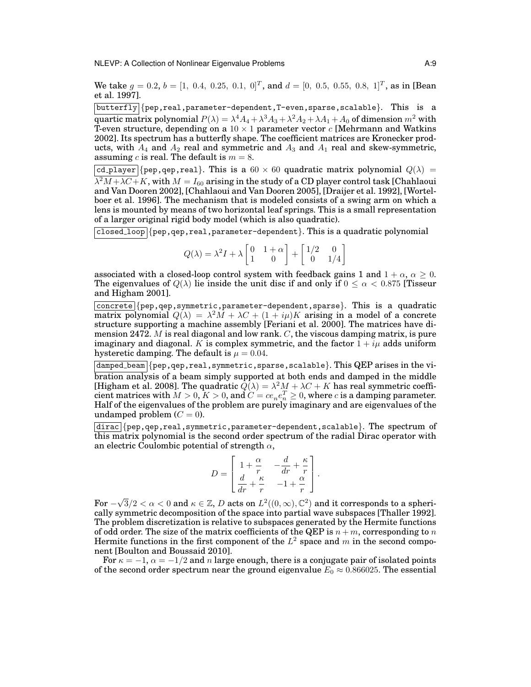NLEVP: A Collection of Nonlinear Eigenvalue Problems and A:9

We take  $g = 0.2$ ,  $b = [1, 0.4, 0.25, 0.1, 0]^T$ , and  $d = [0, 0.5, 0.55, 0.8, 1]^T$ , as in [Bean et al. 1997].

 $[\text{butterfly}]$  {pep, real, parameter-dependent, T-even, sparse, scalable}. This is a quartic matrix polynomial  $P(\lambda)=\lambda^4 A_4+\lambda^3 A_3+\lambda^2 A_2+\lambda A_1+A_0$  of dimension  $m^2$  with T-even structure, depending on a  $10 \times 1$  parameter vector c [Mehrmann and Watkins 2002]. Its spectrum has a butterfly shape. The coefficient matrices are Kronecker products, with  $A_4$  and  $A_2$  real and symmetric and  $A_3$  and  $A_1$  real and skew-symmetric, assuming c is real. The default is  $m = 8$ .

|cd\_player|{pep,qep,real}. This is a  $60 \times 60$  quadratic matrix polynomial  $Q(\lambda)$  =  $\lambda^2M+\lambda C+K,$  with  $M=I_{60}$  arising in the study of a CD player control task [Chahlaoui and Van Dooren 2002], [Chahlaoui and Van Dooren 2005], [Draijer et al. 1992], [Wortelboer et al. 1996]. The mechanism that is modeled consists of a swing arm on which a lens is mounted by means of two horizontal leaf springs. This is a small representation of a larger original rigid body model (which is also quadratic).

 $\lceil \cosh(1-\log(\sqrt{p}p)) \rceil$  (pep, qep, real, parameter-dependent). This is a quadratic polynomial

$$
Q(\lambda) = \lambda^2 I + \lambda \begin{bmatrix} 0 & 1 + \alpha \\ 1 & 0 \end{bmatrix} + \begin{bmatrix} 1/2 & 0 \\ 0 & 1/4 \end{bmatrix}
$$

associated with a closed-loop control system with feedback gains 1 and  $1 + \alpha$ ,  $\alpha \geq 0$ . The eigenvalues of  $Q(\lambda)$  lie inside the unit disc if and only if  $0 \leq \alpha < 0.875$  [Tisseur] and Higham 2001].

concrete {pep,qep,symmetric,parameter-dependent,sparse}. This is a quadratic matrix polynomial  $Q(\lambda) = \lambda^2 M + \lambda C + (1 + i\mu)K$  arising in a model of a concrete structure supporting a machine assembly [Feriani et al. 2000]. The matrices have dimension 2472.  $M$  is real diagonal and low rank.  $C$ , the viscous damping matrix, is pure imaginary and diagonal. K is complex symmetric, and the factor  $1 + i\mu$  adds uniform hysteretic damping. The default is  $\mu = 0.04$ .

 $|\text{damped-beam}|$   $\{pep, qep, real, symmetric, sparse, scalable\}$ . This QEP arises in the vibration analysis of a beam simply supported at both ends and damped in the middle [Higham et al. 2008]. The quadratic  $\overline{Q}(\lambda) = \lambda^2 M + \lambda C + K$  has real symmetric coefficient matrices with  $M > 0, K > 0,$  and  $C = ce_ne_n^T \geq 0$ , where  $c$  is a damping parameter. Half of the eigenvalues of the problem are purely imaginary and are eigenvalues of the undamped problem  $(C = 0)$ .

dirac {pep,qep,real,symmetric,parameter-dependent,scalable}. The spectrum of this matrix polynomial is the second order spectrum of the radial Dirac operator with an electric Coulombic potential of strength  $\alpha$ ,

$$
D = \begin{bmatrix} 1 + \frac{\alpha}{r} & -\frac{d}{dr} + \frac{\kappa}{r} \\ \frac{d}{dr} + \frac{\kappa}{r} & -1 + \frac{\alpha}{r} \end{bmatrix}.
$$

 $For \sqrt{3}/2 < \alpha < 0$  and  $\kappa \in \mathbb{Z}$ , D acts on  $L^2((0,\infty),\mathbb{C}^2)$  and it corresponds to a spherically symmetric decomposition of the space into partial wave subspaces [Thaller 1992]. The problem discretization is relative to subspaces generated by the Hermite functions of odd order. The size of the matrix coefficients of the QEP is  $n + m$ , corresponding to n Hermite functions in the first component of the  $L^2$  space and m in the second component [Boulton and Boussaid 2010].

For  $\kappa = -1$ ,  $\alpha = -1/2$  and n large enough, there is a conjugate pair of isolated points of the second order spectrum near the ground eigenvalue  $E_0 \approx 0.866025$ . The essential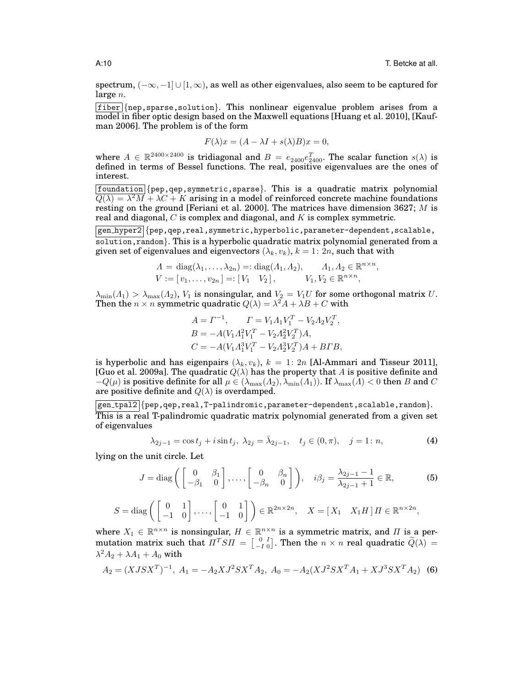spectrum,  $(-\infty, -1] \cup [1, \infty)$ , as well as other eigenvalues, also seem to be captured for large  $n$ .

fiber {nep,sparse,solution}. This nonlinear eigenvalue problem arises from a model in fiber optic design based on the Maxwell equations [Huang et al. 2010], [Kaufman 2006]. The problem is of the form

$$
F(\lambda)x = (A - \lambda I + s(\lambda)B)x = 0,
$$

where  $A \in \mathbb{R}^{2400 \times 2400}$  is tridiagonal and  $B = e_{2400}e_{2400}^T$ . The scalar function  $s(\lambda)$  is defined in terms of Bessel functions. The real, positive eigenvalues are the ones of interest.

 $f$ oundation {pep,qep,symmetric,sparse}. This is a quadratic matrix polynomial  $\overline{Q(\lambda)} = \lambda^2 M + \lambda C + K$  arising in a model of reinforced concrete machine foundations resting on the ground [Feriani et al. 2000]. The matrices have dimension 3627; M is real and diagonal,  $C$  is complex and diagonal, and  $K$  is complex symmetric.

gen hyper2 {pep,qep,real,symmetric,hyperbolic,parameter-dependent,scalable, solution,random}. This is a hyperbolic quadratic matrix polynomial generated from a given set of eigenvalues and eigenvectors  $(\lambda_k, v_k)$ ,  $k = 1: 2n$ , such that with

$$
A = diag(\lambda_1, ..., \lambda_{2n}) =: diag(A_1, A_2), \qquad A_1, A_2 \in \mathbb{R}^{n \times n},
$$
  

$$
V := [v_1, ..., v_{2n}] =: [V_1 \quad V_2], \qquad V_1, V_2 \in \mathbb{R}^{n \times n},
$$

 $\lambda_{\min}(A_1) > \lambda_{\max}(A_2)$ ,  $V_1$  is nonsingular, and  $V_2 = V_1 U$  for some orthogonal matrix U. Then the  $n \times n$  symmetric quadratic  $Q(\lambda) = \lambda^2 A + \lambda B + C$  with

$$
A = \Gamma^{-1}, \qquad \Gamma = V_1 A_1 V_1^T - V_2 A_2 V_2^T,
$$
  
\n
$$
B = -A(V_1 A_1^2 V_1^T - V_2 A_2^2 V_2^T) A,
$$
  
\n
$$
C = -A(V_1 A_1^3 V_1^T - V_2 A_2^3 V_2^T) A + B \Gamma B,
$$

is hyperbolic and has eigenpairs  $(\lambda_k, v_k)$ ,  $k = 1: 2n$  [Al-Ammari and Tisseur 2011], [Guo et al. 2009a]. The quadratic  $\hat{Q}(\lambda)$  has the property that A is positive definite and  $-Q(\mu)$  is positive definite for all  $\mu \in (\lambda_{\max}(A_2), \lambda_{\min}(A_1))$ . If  $\lambda_{\max}(A) < 0$  then B and C are positive definite and  $Q(\lambda)$  is overdamped.

gen tpal2 {pep,qep,real,T-palindromic,parameter-dependent,scalable,random}. This is a real T-palindromic quadratic matrix polynomial generated from a given set of eigenvalues

$$
\lambda_{2j-1} = \cos t_j + i \sin t_j, \ \lambda_{2j} = \bar{\lambda}_{2j-1}, \quad t_j \in (0, \pi), \quad j = 1: n,
$$
 (4)

lying on the unit circle. Let

$$
J = \text{diag}\left(\begin{bmatrix} 0 & \beta_1 \\ -\beta_1 & 0 \end{bmatrix}, \dots, \begin{bmatrix} 0 & \beta_n \\ -\beta_n & 0 \end{bmatrix}\right), \quad i\beta_j = \frac{\lambda_{2j-1} - 1}{\lambda_{2j-1} + 1} \in \mathbb{R},\tag{5}
$$

$$
S = \text{diag}\left(\begin{bmatrix} 0 & 1 \\ -1 & 0 \end{bmatrix}, \dots, \begin{bmatrix} 0 & 1 \\ -1 & 0 \end{bmatrix}\right) \in \mathbb{R}^{2n \times 2n}, \quad X = \begin{bmatrix} X_1 & X_1 H \end{bmatrix} \Pi \in \mathbb{R}^{n \times 2n},
$$

where  $X_1 \in \mathbb{R}^{n \times n}$  is nonsingular,  $H \in \mathbb{R}^{n \times n}$  is a symmetric matrix, and  $\Pi$  is a permutation matrix such that  $\Pi^T S \Pi = \begin{bmatrix} 0 & I \\ -I & 0 \end{bmatrix}$ . Then the  $n \times n$  real quadratic  $\widetilde{Q}(\lambda) =$  $\lambda^2 A_2 + \lambda A_1 + A_0$  with

$$
A_2 = (XJSX^T)^{-1}, A_1 = -A_2XJ^2SX^TA_2, A_0 = -A_2(XJ^2SX^TA_1 + XJ^3SX^TA_2)
$$
 (6)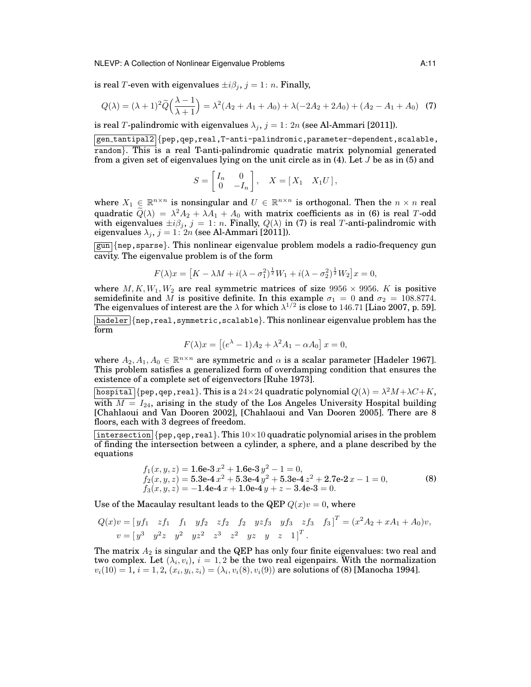#### NLEVP: A Collection of Nonlinear Eigenvalue Problems **A:11**

is real T-even with eigenvalues  $\pm i\beta_i$ ,  $j = 1: n$ . Finally,

$$
Q(\lambda) = (\lambda + 1)^2 \widetilde{Q}\left(\frac{\lambda - 1}{\lambda + 1}\right) = \lambda^2 (A_2 + A_1 + A_0) + \lambda (-2A_2 + 2A_0) + (A_2 - A_1 + A_0)
$$
 (7)

is real T-palindromic with eigenvalues  $\lambda_j$ ,  $j = 1: 2n$  (see Al-Ammari [2011]).

 $|gen\_tantipal2|$ {pep,qep,real,T-anti-palindromic,parameter-dependent,scalable, random}. This is a real T-anti-palindromic quadratic matrix polynomial generated from a given set of eigenvalues lying on the unit circle as in  $(4)$ . Let J be as in  $(5)$  and

$$
S = \begin{bmatrix} I_n & 0 \\ 0 & -I_n \end{bmatrix}, \quad X = \begin{bmatrix} X_1 & X_1 U \end{bmatrix},
$$

where  $X_1 \in \mathbb{R}^{n \times n}$  is nonsingular and  $U \in \mathbb{R}^{n \times n}$  is orthogonal. Then the  $n \times n$  real quadratic  $\widetilde{Q}(\lambda) = \lambda^2 A_2 + \lambda A_1 + A_0$  with matrix coefficients as in (6) is real T-odd with eigenvalues  $\pm i\beta_j, j = 1: n$ . Finally,  $Q(\lambda)$  in (7) is real T-anti-palindromic with eigenvalues  $\lambda_j$ ,  $j = 1: 2n$  (see Al-Ammari [2011]).

gun {nep,sparse}. This nonlinear eigenvalue problem models a radio-frequency gun cavity. The eigenvalue problem is of the form

$$
F(\lambda)x = [K - \lambda M + i(\lambda - \sigma_1^2)^{\frac{1}{2}}W_1 + i(\lambda - \sigma_2^2)^{\frac{1}{2}}W_2]x = 0,
$$

where  $M, K, W_1, W_2$  are real symmetric matrices of size 9956  $\times$  9956. K is positive semidefinite and M is positive definite. In this example  $\sigma_1 = 0$  and  $\sigma_2 = 108.8774$ . The eigenvalues of interest are the  $\lambda$  for which  $\lambda^{1/2}$  is close to 146.71 [Liao 2007, p. 59]. hadeler {nep,real,symmetric,scalable}. This nonlinear eigenvalue problem has the form

$$
F(\lambda)x = [(e^{\lambda} - 1)A_2 + \lambda^2 A_1 - \alpha A_0] x = 0,
$$

where  $A_2, A_1, A_0 \in \mathbb{R}^{n \times n}$  are symmetric and  $\alpha$  is a scalar parameter [Hadeler 1967]. This problem satisfies a generalized form of overdamping condition that ensures the existence of a complete set of eigenvectors [Ruhe 1973].

hospital  $\{$  pep, qep, real  $\}.$  This is a  $24\times 24$  quadratic polynomial  $Q(\lambda) = \lambda^2 M + \lambda C + K,$ with  $M = I_{24}$ , arising in the study of the Los Angeles University Hospital building [Chahlaoui and Van Dooren 2002], [Chahlaoui and Van Dooren 2005]. There are 8 floors, each with 3 degrees of freedom.

|intersection|{pep,qep,real}. This  $10\times10$  quadratic polynomial arises in the problem of finding the intersection between a cylinder, a sphere, and a plane described by the equations

$$
f_1(x, y, z) = 1.6e-3x^2 + 1.6e-3y^2 - 1 = 0,
$$
  
\n
$$
f_2(x, y, z) = 5.3e-4x^2 + 5.3e-4y^2 + 5.3e-4z^2 + 2.7e-2x - 1 = 0,
$$
  
\n
$$
f_3(x, y, z) = -1.4e-4x + 1.0e-4y + z - 3.4e-3 = 0.
$$
\n(8)

Use of the Macaulay resultant leads to the QEP  $Q(x)v = 0$ , where

$$
Q(x)v = [y f_1 \ z f_1 \ f_1 \ y f_2 \ z f_2 \ f_2 \ y z f_3 \ y f_3 \ z f_3 \ f_3]^T = (x^2 A_2 + x A_1 + A_0)v,
$$
  

$$
v = [y^3 \ y^2 z \ y^2 \ y z^2 \ z^3 \ z^2 \ y z \ y \ z \ 1]^T.
$$

The matrix  $A_2$  is singular and the QEP has only four finite eigenvalues: two real and two complex. Let  $(\lambda_i, v_i)$ ,  $i = 1, 2$  be the two real eigenpairs. With the normalization  $v_i(10) = 1, i = 1, 2, (x_i, y_i, z_i) = (\lambda_i, v_i(8), v_i(9))$  are solutions of (8) [Manocha 1994].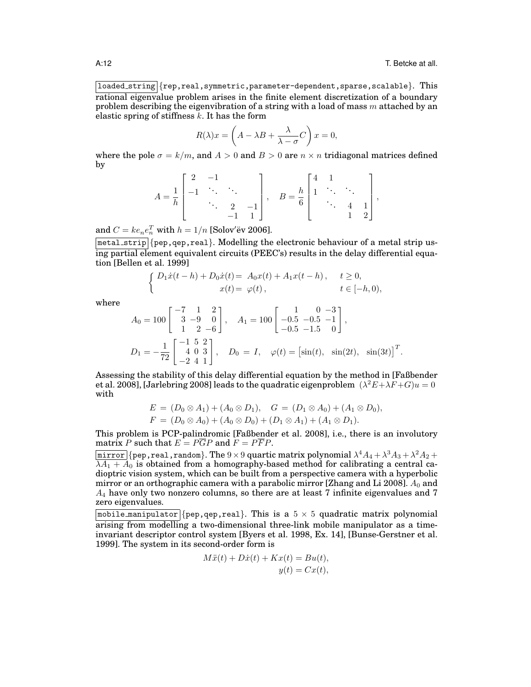loaded string {rep,real,symmetric,parameter-dependent,sparse,scalable}. This rational eigenvalue problem arises in the finite element discretization of a boundary problem describing the eigenvibration of a string with a load of mass m attached by an elastic spring of stiffness  $k$ . It has the form

$$
R(\lambda)x = \left(A - \lambda B + \frac{\lambda}{\lambda - \sigma}C\right)x = 0,
$$

where the pole  $\sigma = k/m$ , and  $A > 0$  and  $B > 0$  are  $n \times n$  tridiagonal matrices defined by

$$
A = \frac{1}{h} \begin{bmatrix} 2 & -1 & & \\ -1 & \ddots & \ddots & \\ & \ddots & 2 & -1 \\ & & -1 & 1 \end{bmatrix}, \quad B = \frac{h}{6} \begin{bmatrix} 4 & 1 & & \\ 1 & \ddots & \ddots & \\ & \ddots & 4 & 1 \\ & & 1 & 2 \end{bmatrix},
$$

and  $C = ke_ne_n^T$  with  $h = 1/n$  [Solov'ëv 2006].

metal strip {pep,qep,real}. Modelling the electronic behaviour of a metal strip using partial element equivalent circuits (PEEC's) results in the delay differential equation [Bellen et al. 1999]

$$
\begin{cases}\nD_1 \dot{x}(t-h) + D_0 \dot{x}(t) = A_0 x(t) + A_1 x(t-h), & t \ge 0, \\
x(t) = \varphi(t), & t \in [-h, 0),\n\end{cases}
$$

where

$$
A_0 = 100 \begin{bmatrix} -7 & 1 & 2 \\ 3 & -9 & 0 \\ 1 & 2 & -6 \end{bmatrix}, \quad A_1 = 100 \begin{bmatrix} 1 & 0 & -3 \\ -0.5 & -0.5 & -1 \\ -0.5 & -1.5 & 0 \end{bmatrix},
$$
  
\n
$$
D_1 = -\frac{1}{72} \begin{bmatrix} -1 & 5 & 2 \\ 4 & 0 & 3 \\ -2 & 4 & 1 \end{bmatrix}, \quad D_0 = I, \quad \varphi(t) = \begin{bmatrix} \sin(t), & \sin(2t), & \sin(3t) \end{bmatrix}^T.
$$

Assessing the stability of this delay differential equation by the method in [Faßbender et al. 2008], [Jarlebring 2008] leads to the quadratic eigenproblem  $(\lambda^2 E + \lambda F + G)u = 0$ with

$$
E = (D_0 \otimes A_1) + (A_0 \otimes D_1), \quad G = (D_1 \otimes A_0) + (A_1 \otimes D_0),
$$
  

$$
F = (D_0 \otimes A_0) + (A_0 \otimes D_0) + (D_1 \otimes A_1) + (A_1 \otimes D_1).
$$

This problem is PCP-palindromic [Faßbender et al. 2008], i.e., there is an involutory matrix P such that  $E = P\overline{G}P$  and  $F = P\overline{F}P$ .

 $\overline{\text{mirror}}$  {pep,real,random}. The  $9 \times 9$  quartic matrix polynomial  $\lambda^4 A_4 + \lambda^3 A_3 + \lambda^2 A_2 +$  $\overline{\lambda A_1 + A_0}$  is obtained from a homography-based method for calibrating a central cadioptric vision system, which can be built from a perspective camera with a hyperbolic mirror or an orthographic camera with a parabolic mirror [Zhang and Li 2008].  $A_0$  and  $A_4$  have only two nonzero columns, so there are at least 7 infinite eigenvalues and 7 zero eigenvalues.

 $\boxed{\text{mobile\_manipulator}}$ {pep,qep,real}. This is a  $5 \times 5$  quadratic matrix polynomial arising from modelling a two-dimensional three-link mobile manipulator as a timeinvariant descriptor control system [Byers et al. 1998, Ex. 14], [Bunse-Gerstner et al. 1999]. The system in its second-order form is

$$
M\ddot{x}(t) + D\dot{x}(t) + Kx(t) = Bu(t),
$$
  

$$
y(t) = Cx(t),
$$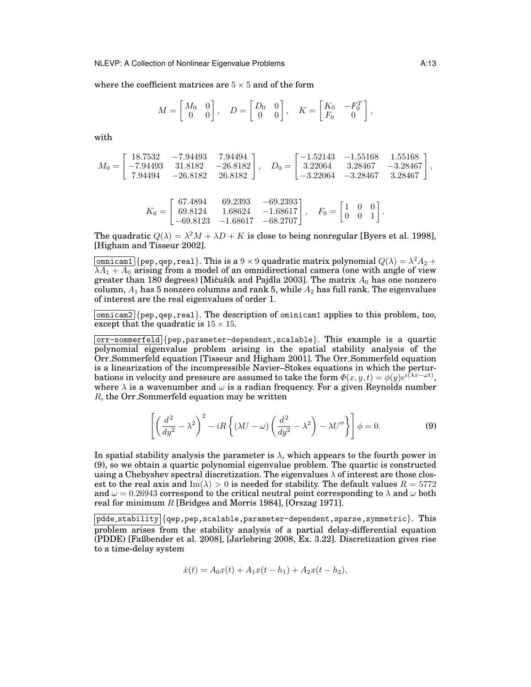where the coefficient matrices are  $5 \times 5$  and of the form

$$
M = \begin{bmatrix} M_0 & 0 \\ 0 & 0 \end{bmatrix}, \quad D = \begin{bmatrix} D_0 & 0 \\ 0 & 0 \end{bmatrix}, \quad K = \begin{bmatrix} K_0 & -F_0^T \\ F_0 & 0 \end{bmatrix},
$$

with

$$
M_0 = \begin{bmatrix} 18.7532 & -7.94493 & 7.94494 \\ -7.94493 & 31.8182 & -26.8182 \\ 7.94494 & -26.8182 & 26.8182 \end{bmatrix}, \quad D_0 = \begin{bmatrix} -1.52143 & -1.55168 & 1.55168 \\ 3.22064 & 3.28467 & -3.28467 \\ -3.22064 & -3.28467 & 3.28467 \end{bmatrix},
$$

$$
K_0 = \begin{bmatrix} 67.4894 & 69.2393 & -69.2393 \\ 69.8124 & 1.68624 & -1.68617 \\ -69.8123 & -1.68617 & -68.2707 \end{bmatrix}, \quad F_0 = \begin{bmatrix} 1 & 0 & 0 \\ 0 & 0 & 1 \end{bmatrix}.
$$

The quadratic  $Q(\lambda) = \lambda^2 M + \lambda D + K$  is close to being nonregular [Byers et al. 1998], [Higham and Tisseur 2002].

 $\overline{\mathtt{omnicam1}}\{\mathtt{pep},\mathtt{qep},\mathtt{real}\}$ . This is a  $9\times 9$  quadratic matrix polynomial  $Q(\lambda)=\lambda^2A_2+1$  $\overline{\lambda A_1 + A_0}$  arising from a model of an omnidirectional camera (one with angle of view greater than 180 degrees) [Mičušík and Pajdla 2003]. The matrix  $A_0$  has one nonzero column,  $A_1$  has 5 nonzero columns and rank 5, while  $A_2$  has full rank. The eigenvalues of interest are the real eigenvalues of order 1.

 $\lceil \text{omnicam2} \rceil$  {pep, qep, real}. The description of ominicam1 applies to this problem, too, except that the quadratic is  $15 \times 15$ .

 $\overline{\text{corr-sommerfeld}}$  {pep, parameter-dependent, scalable}. This example is a quartic polynomial eigenvalue problem arising in the spatial stability analysis of the Orr Sommerfeld equation [Tisseur and Higham 2001]. The Orr Sommerfeld equation is a linearization of the incompressible Navier–Stokes equations in which the perturbations in velocity and pressure are assumed to take the form  $\varPhi(x,y,t)=\phi(y)e^{i\left(\lambda x-\omega t\right)},$ where  $\lambda$  is a wavenumber and  $\omega$  is a radian frequency. For a given Reynolds number R, the Orr Sommerfeld equation may be written

$$
\left[ \left( \frac{d^2}{dy^2} - \lambda^2 \right)^2 - iR \left\{ (\lambda U - \omega) \left( \frac{d^2}{dy^2} - \lambda^2 \right) - \lambda U'' \right\} \right] \phi = 0.
$$
 (9)

In spatial stability analysis the parameter is  $\lambda$ , which appears to the fourth power in (9), so we obtain a quartic polynomial eigenvalue problem. The quartic is constructed using a Chebyshev spectral discretization. The eigenvalues  $\lambda$  of interest are those closest to the real axis and  $\text{Im}(\lambda) > 0$  is needed for stability. The default values  $R = 5772$ and  $\omega = 0.26943$  correspond to the critical neutral point corresponding to  $\lambda$  and  $\omega$  both real for minimum R [Bridges and Morris 1984], [Orszag 1971].

$$
\dot{x}(t) = A_0 x(t) + A_1 x(t - h_1) + A_2 x(t - h_2),
$$

 $|\text{pdde\_stability}|$ {qep,pep,scalable,parameter-dependent,sparse,symmetric}. This problem arises from the stability analysis of a partial delay-differential equation (PDDE) [Faßbender et al. 2008], [Jarlebring 2008, Ex. 3.22]. Discretization gives rise to a time-delay system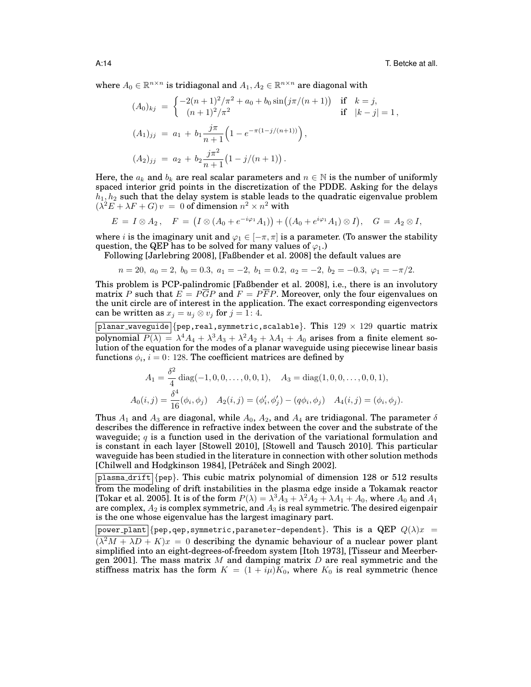A:14 T. Betcke at all.

where  $A_0 \in \mathbb{R}^{n \times n}$  is tridiagonal and  $A_1, A_2 \in \mathbb{R}^{n \times n}$  are diagonal with

$$
(A_0)_{kj} = \begin{cases} -2(n+1)^2/\pi^2 + a_0 + b_0 \sin(j\pi/(n+1)) & \text{if } k = j, \\ (n+1)^2/\pi^2 & \text{if } |k - j| = 1, \end{cases}
$$
  

$$
(A_1)_{jj} = a_1 + b_1 \frac{j\pi}{n+1} \left( 1 - e^{-\pi(1-j/(n+1))} \right),
$$
  

$$
(A_2)_{jj} = a_2 + b_2 \frac{j\pi^2}{n+1} \left( 1 - j/(n+1) \right).
$$

Here, the  $a_k$  and  $b_k$  are real scalar parameters and  $n \in \mathbb{N}$  is the number of uniformly spaced interior grid points in the discretization of the PDDE. Asking for the delays  $h_1, h_2$  such that the delay system is stable leads to the quadratic eigenvalue problem  $(\lambda^2 E + \lambda F + G)v = 0$  of dimension  $n^2 \times n^2$  with

$$
E = I \otimes A_2, \quad F = (I \otimes (A_0 + e^{-i\varphi_1} A_1)) + ((A_0 + e^{i\varphi_1} A_1) \otimes I), \quad G = A_2 \otimes I,
$$

where *i* is the imaginary unit and  $\varphi_1 \in [-\pi, \pi]$  is a parameter. (To answer the stability question, the QEP has to be solved for many values of  $\varphi_1$ .)

Following [Jarlebring 2008], [Faßbender et al. 2008] the default values are

$$
n = 20, a_0 = 2, b_0 = 0.3, a_1 = -2, b_1 = 0.2, a_2 = -2, b_2 = -0.3, \varphi_1 = -\pi/2.
$$

This problem is PCP-palindromic [Faßbender et al. 2008], i.e., there is an involutory matrix P such that  $E = P\overline{G}P$  and  $F = P\overline{F}P$ . Moreover, only the four eigenvalues on the unit circle are of interest in the application. The exact corresponding eigenvectors can be written as  $x_j = u_j \otimes v_j$  for  $j = 1: 4$ .

planar waveguide {pep,real, symmetric, scalable}. This  $129 \times 129$  quartic matrix polynomial  $P(\lambda) = \lambda^4 A_4 + \lambda^3 A_3 + \lambda^2 A_2 + \lambda A_1 + A_0$  arises from a finite element solution of the equation for the modes of a planar waveguide using piecewise linear basis functions  $\phi_i, \, i=0 \colon 128.$  The coefficient matrices are defined by

$$
A_1 = \frac{\delta^2}{4} \operatorname{diag}(-1, 0, 0, \dots, 0, 0, 1), \quad A_3 = \operatorname{diag}(1, 0, 0, \dots, 0, 0, 1),
$$
  

$$
A_0(i, j) = \frac{\delta^4}{16} (\phi_i, \phi_j) \quad A_2(i, j) = (\phi'_i, \phi'_j) - (q\phi_i, \phi_j) \quad A_4(i, j) = (\phi_i, \phi_j).
$$

Thus  $A_1$  and  $A_3$  are diagonal, while  $A_0$ ,  $A_2$ , and  $A_4$  are tridiagonal. The parameter  $\delta$ describes the difference in refractive index between the cover and the substrate of the waveguide; q is a function used in the derivation of the variational formulation and is constant in each layer [Stowell 2010], [Stowell and Tausch 2010]. This particular waveguide has been studied in the literature in connection with other solution methods [Chilwell and Hodgkinson 1984], [Petráček and Singh 2002].

 $\beta$ lasma drift {pep}. This cubic matrix polynomial of dimension 128 or 512 results from the modeling of drift instabilities in the plasma edge inside a Tokamak reactor [Tokar et al. 2005]. It is of the form  $P(\lambda)=\lambda^3 \bar{A}_3+\lambda^2 A_2+\lambda A_1+A_0,$  where  $A_0$  and  $A_1$ are complex,  $A_2$  is complex symmetric, and  $A_3$  is real symmetric. The desired eigenpair is the one whose eigenvalue has the largest imaginary part.

|power\_plant|{pep,qep,symmetric,parameter-dependent}. This is a QEP  $Q(\lambda)x =$  $(\lambda^2 M + \lambda D + K)x = 0$  describing the dynamic behaviour of a nuclear power plant simplified into an eight-degrees-of-freedom system [Itoh 1973], [Tisseur and Meerbergen 2001]. The mass matrix M and damping matrix  $D$  are real symmetric and the stiffness matrix has the form  $K = (1 + i\mu)K_0$ , where  $K_0$  is real symmetric (hence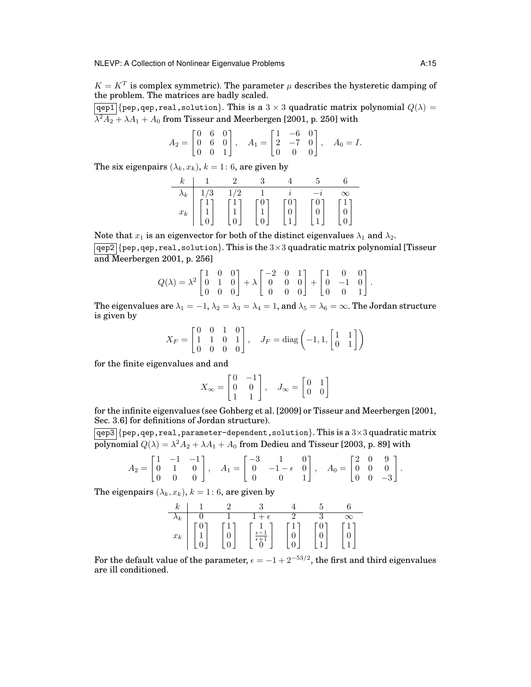$K = K^T$  is complex symmetric). The parameter  $\mu$  describes the hysteretic damping of the problem. The matrices are badly scaled.

 $\boxed{\text{qep1}}$  {pep, qep, real, solution}. This is a 3 × 3 quadratic matrix polynomial  $Q(\lambda)$  =  $\lambda^2A_2+\lambda A_1+A_0$  from Tisseur and Meerbergen [2001, p. 250] with

$$
A_2 = \begin{bmatrix} 0 & 6 & 0 \\ 0 & 6 & 0 \\ 0 & 0 & 1 \end{bmatrix}, \quad A_1 = \begin{bmatrix} 1 & -6 & 0 \\ 2 & -7 & 0 \\ 0 & 0 & 0 \end{bmatrix}, \quad A_0 = I.
$$

The six eigenpairs  $(\lambda_k, x_k)$ ,  $k = 1: 6$ , are given by

| $\kappa$    |     |                                             |                                              |                                |                                         |              |
|-------------|-----|---------------------------------------------|----------------------------------------------|--------------------------------|-----------------------------------------|--------------|
| $\lambda_k$ | 1/3 | 1/2                                         |                                              |                                |                                         |              |
| $x_k$       |     | $\begin{bmatrix} 1 \\ 1 \\ 0 \end{bmatrix}$ | $\mathbf{v}$<br>$\mathbf{a}$<br>$\mathbf{r}$ | $\frac{0}{0}$<br>$\frac{0}{1}$ | $\frac{0}{0}$<br>$\mathbf{a}^{\dagger}$ | $\mathbf{r}$ |

Note that  $x_1$  is an eigenvector for both of the distinct eigenvalues  $\lambda_1$  and  $\lambda_2$ .

 $\boxed{\text{qep2}}$  {pep, qep, real, solution}. This is the 3×3 quadratic matrix polynomial [Tisseur and Meerbergen 2001, p. 256]

$$
Q(\lambda) = \lambda^2 \begin{bmatrix} 1 & 0 & 0 \\ 0 & 1 & 0 \\ 0 & 0 & 0 \end{bmatrix} + \lambda \begin{bmatrix} -2 & 0 & 1 \\ 0 & 0 & 0 \\ 0 & 0 & 0 \end{bmatrix} + \begin{bmatrix} 1 & 0 & 0 \\ 0 & -1 & 0 \\ 0 & 0 & 1 \end{bmatrix}.
$$

The eigenvalues are  $\lambda_1 = -1$ ,  $\lambda_2 = \lambda_3 = \lambda_4 = 1$ , and  $\lambda_5 = \lambda_6 = \infty$ . The Jordan structure is given by

$$
X_F = \begin{bmatrix} 0 & 0 & 1 & 0 \\ 1 & 1 & 0 & 1 \\ 0 & 0 & 0 & 0 \end{bmatrix}, \quad J_F = \text{diag}\left(-1, 1, \begin{bmatrix} 1 & 1 \\ 0 & 1 \end{bmatrix}\right)
$$

for the finite eigenvalues and and

$$
X_{\infty} = \begin{bmatrix} 0 & -1 \\ 0 & 0 \\ 1 & 1 \end{bmatrix}, \quad J_{\infty} = \begin{bmatrix} 0 & 1 \\ 0 & 0 \end{bmatrix}
$$

for the infinite eigenvalues (see Gohberg et al. [2009] or Tisseur and Meerbergen [2001, Sec. 3.6] for definitions of Jordan structure).

 $\boxed{qep3}$  {pep, qep, real, parameter-dependent, solution}. This is a 3×3 quadratic matrix polynomial  $Q(\lambda) = \lambda^2 A_2 + \lambda A_1 + A_0$  from Dedieu and Tisseur [2003, p. 89] with

$$
A_2 = \begin{bmatrix} 1 & -1 & -1 \\ 0 & 1 & 0 \\ 0 & 0 & 0 \end{bmatrix}, \quad A_1 = \begin{bmatrix} -3 & 1 & 0 \\ 0 & -1 - \epsilon & 0 \\ 0 & 0 & 1 \end{bmatrix}, \quad A_0 = \begin{bmatrix} 2 & 0 & 9 \\ 0 & 0 & 0 \\ 0 & 0 & -3 \end{bmatrix}.
$$

The eigenpairs  $(\lambda_k, x_k)$ ,  $k = 1: 6$ , are given by

| $_{\kappa}$ |              |                      |        |          |
|-------------|--------------|----------------------|--------|----------|
| $\Lambda_k$ |              |                      |        | $\infty$ |
| $x_{k}$     | $\mathbf{r}$ | $rac{c}{\epsilon+1}$ | U<br>и | Ŧ,       |

For the default value of the parameter,  $\epsilon = -1 + 2^{-53/2}$ , the first and third eigenvalues are ill conditioned.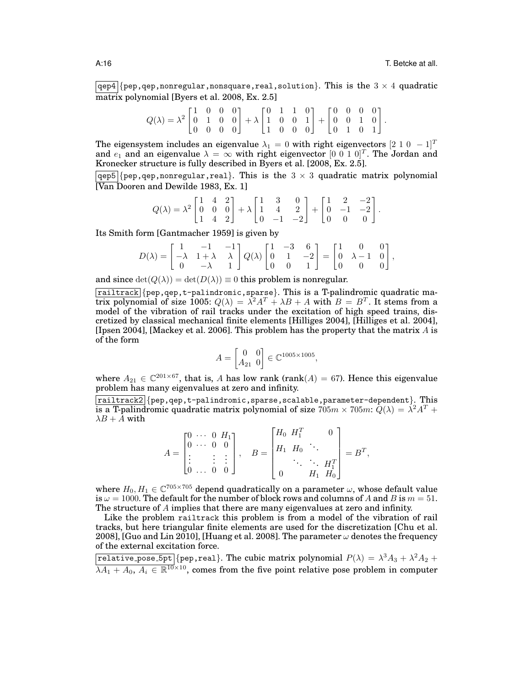$\boxed{\texttt{qep4}}$  {pep,qep,nonregular,nonsquare,real,solution}. This is the 3  $\times$  4 quadratic matrix polynomial [Byers et al. 2008, Ex. 2.5]

$$
Q(\lambda) = \lambda^2 \begin{bmatrix} 1 & 0 & 0 & 0 \\ 0 & 1 & 0 & 0 \\ 0 & 0 & 0 & 0 \end{bmatrix} + \lambda \begin{bmatrix} 0 & 1 & 1 & 0 \\ 1 & 0 & 0 & 1 \\ 1 & 0 & 0 & 0 \end{bmatrix} + \begin{bmatrix} 0 & 0 & 0 & 0 \\ 0 & 0 & 1 & 0 \\ 0 & 1 & 0 & 1 \end{bmatrix}.
$$

The eigensystem includes an eigenvalue  $\lambda_1 = 0$  with right eigenvectors  $[2 \ 1 \ 0 \ -1]^T$ and  $e_1$  and an eigenvalue  $\lambda = \infty$  with right eigenvector  $[0\; 0\; 1\; 0]^T$ . The Jordan and Kronecker structure is fully described in Byers et al. [2008, Ex. 2.5].

 $qep5$  {pep, qep, nonregular, real}. This is the  $3 \times 3$  quadratic matrix polynomial [Van Dooren and Dewilde 1983, Ex. 1]

$$
Q(\lambda) = \lambda^2 \begin{bmatrix} 1 & 4 & 2 \\ 0 & 0 & 0 \\ 1 & 4 & 2 \end{bmatrix} + \lambda \begin{bmatrix} 1 & 3 & 0 \\ 1 & 4 & 2 \\ 0 & -1 & -2 \end{bmatrix} + \begin{bmatrix} 1 & 2 & -2 \\ 0 & -1 & -2 \\ 0 & 0 & 0 \end{bmatrix}.
$$

Its Smith form [Gantmacher 1959] is given by

$$
D(\lambda) = \begin{bmatrix} 1 & -1 & -1 \\ -\lambda & 1 + \lambda & \lambda \\ 0 & -\lambda & 1 \end{bmatrix} Q(\lambda) \begin{bmatrix} 1 & -3 & 6 \\ 0 & 1 & -2 \\ 0 & 0 & 1 \end{bmatrix} = \begin{bmatrix} 1 & 0 & 0 \\ 0 & \lambda - 1 & 0 \\ 0 & 0 & 0 \end{bmatrix},
$$

and since  $\det(Q(\lambda)) = \det(D(\lambda)) \equiv 0$  this problem is nonregular.

 $r_{\text{radltrac}}$  {pep, qep, t-palindromic, sparse}. This is a T-palindromic quadratic matrix polynomial of size 1005:  $Q(\lambda) = \lambda^2 A^T + \lambda B + A$  with  $B = B^T$ . It stems from a model of the vibration of rail tracks under the excitation of high speed trains, discretized by classical mechanical finite elements [Hilliges 2004], [Hilliges et al. 2004], [Ipsen 2004], [Mackey et al. 2006]. This problem has the property that the matrix  $\Lambda$  is of the form

$$
A = \begin{bmatrix} 0 & 0 \\ A_{21} & 0 \end{bmatrix} \in \mathbb{C}^{1005 \times 1005},
$$

where  $A_{21} \in \mathbb{C}^{201 \times 67}$ , that is, A has low rank (rank(A) = 67). Hence this eigenvalue problem has many eigenvalues at zero and infinity.

 $r_{\text{mailtrack2}}$  {pep,qep,t-palindromic, sparse, scalable, parameter-dependent}. This is a T-palindromic quadratic matrix polynomial of size  $705m \times 705m$ :  $\bar{Q}(\lambda) = \dot{\lambda}^2 A^T +$  $\lambda B + A$  with

$$
A = \begin{bmatrix} 0 & \cdots & 0 & H_1 \\ 0 & \cdots & 0 & 0 \\ \vdots & & \vdots & \vdots \\ 0 & \cdots & 0 & 0 \end{bmatrix}, \quad B = \begin{bmatrix} H_0 & H_1^T & & 0 \\ H_1 & H_0 & \ddots & \\ & & \ddots & \ddots & H_1^T \\ 0 & & & H_1 & H_0 \end{bmatrix} = B^T,
$$

where  $H_0, H_1 \in \mathbb{C}^{705 \times 705}$  depend quadratically on a parameter  $\omega$ , whose default value is  $\omega = 1000$ . The default for the number of block rows and columns of A and B is  $m = 51$ . The structure of A implies that there are many eigenvalues at zero and infinity.

Like the problem railtrack this problem is from a model of the vibration of rail tracks, but here triangular finite elements are used for the discretization [Chu et al. 2008], [Guo and Lin 2010], [Huang et al. 2008]. The parameter  $\omega$  denotes the frequency of the external excitation force.

 $\overline{\mathtt{relative\_pose\_5pt}}\{\mathtt{pep,real}\}.$  The cubic matrix polynomial  $P(\lambda) = \lambda^3 A_3 + \lambda^2 A_2 + \lambda^3 B_3$  $\lambda A_1 + A_0, A_i \in \mathbb{R}^{\overline{10} \times 10}$ , comes from the five point relative pose problem in computer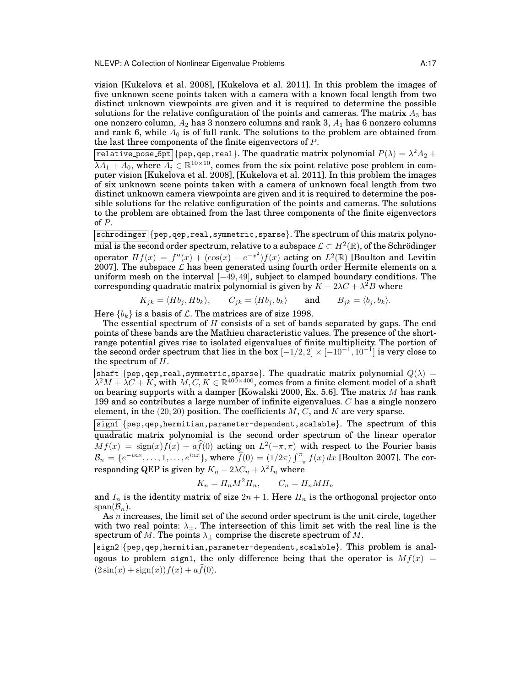NLEVP: A Collection of Nonlinear Eigenvalue Problems **A:17** A:17

vision [Kukelova et al. 2008], [Kukelova et al. 2011]. In this problem the images of five unknown scene points taken with a camera with a known focal length from two distinct unknown viewpoints are given and it is required to determine the possible solutions for the relative configuration of the points and cameras. The matrix  $A_3$  has one nonzero column,  $A_2$  has 3 nonzero columns and rank 3,  $A_1$  has 6 nonzero columns and rank 6, while  $A_0$  is of full rank. The solutions to the problem are obtained from the last three components of the finite eigenvectors of P.

 $\overline{\mathtt{relative\_pose\_Gpt}}\{\mathtt{pep, qep, real}\}.$  The quadratic matrix polynomial  $P(\lambda) = \lambda^2 A_2 + \lambda^3 A_1$  $\overline{\lambda A_1 + A_0}$ , where  $\overline{A_i} \in \mathbb{R}^{10 \times 10}$ , comes from the six point relative pose problem in computer vision [Kukelova et al. 2008], [Kukelova et al. 2011]. In this problem the images of six unknown scene points taken with a camera of unknown focal length from two distinct unknown camera viewpoints are given and it is required to determine the possible solutions for the relative configuration of the points and cameras. The solutions to the problem are obtained from the last three components of the finite eigenvectors of P.

 $schrodinger$  {pep,qep,real,symmetric,sparse}. The spectrum of this matrix polynomial is the second order spectrum, relative to a subspace  $\mathcal{L}\subset H^2(\mathbb{R}),$  of the Schrödinger operator  $Hf(x) = f''(x) + (\cos(x) - e^{-x^2})f(x)$  acting on  $L^2(\mathbb{R})$  [Boulton and Levitin 2007]. The subspace  $\mathcal L$  has been generated using fourth order Hermite elements on a uniform mesh on the interval  $[-49, 49]$ , subject to clamped boundary conditions. The corresponding quadratic matrix polynomial is given by  $K - 2\lambda C + \lambda^2 B$  where

$$
K_{jk} = \langle Hb_j, Hb_k \rangle, \qquad C_{jk} = \langle Hb_j, b_k \rangle \qquad \text{and} \qquad B_{jk} = \langle b_j, b_k \rangle.
$$

Here  ${b_k}$  is a basis of  $\mathcal L$ . The matrices are of size 1998.

The essential spectrum of  $H$  consists of a set of bands separated by gaps. The end points of these bands are the Mathieu characteristic values. The presence of the shortrange potential gives rise to isolated eigenvalues of finite multiplicity. The portion of the second order spectrum that lies in the box  $[-1/2, 2] \times [-10^{-1}, 10^{-1}]$  is very close to the spectrum of H.

 $\texttt{shaff}[\{\texttt{pep},\texttt{qep},\texttt{real},\texttt{symmetric},\texttt{sparse}\}.$  The quadratic matrix polynomial  $Q(\lambda) =$  $\lambda^2 M + \lambda C + K$ , with  $M, C, K \in \mathbb{R}^{400 \times 400}$ , comes from a finite element model of a shaft on bearing supports with a damper [Kowalski 2000, Ex. 5.6]. The matrix  $M$  has rank 199 and so contributes a large number of infinite eigenvalues. C has a single nonzero element, in the  $(20, 20)$  position. The coefficients M, C, and K are very sparse.

 $s$ ign1 {pep,qep,hermitian,parameter-dependent,scalable}. The spectrum of this quadratic matrix polynomial is the second order spectrum of the linear operator  $Mf(x) = \text{sign}(x)f(x) + a\hat{f}(0)$  acting on  $L^2(-\pi, \pi)$  with respect to the Fourier basis  $\mathcal{B}_n = \{e^{-inx}, \ldots, 1, \ldots, e^{inx}\},$  where  $\widehat{f}(0) = (1/2\pi) \int_{-\pi}^{\pi} f(x) dx$  [Boulton 2007]. The corresponding QEP is given by  $K_n - 2\lambda C_n + \lambda^2 I_n$  where

$$
K_n = \Pi_n M^2 \Pi_n, \qquad C_n = \Pi_n M \Pi_n
$$

and  $I_n$  is the identity matrix of size  $2n + 1$ . Here  $\prod_n$  is the orthogonal projector onto  $span(\mathcal{B}_n)$ .

As  $n$  increases, the limit set of the second order spectrum is the unit circle, together with two real points:  $\lambda_{\pm}$ . The intersection of this limit set with the real line is the spectrum of M. The points  $\lambda_{\pm}$  comprise the discrete spectrum of M.

 $|\text{sign2}|$  {pep,qep,hermitian,parameter-dependent,scalable}. This problem is analogous to problem sign1, the only difference being that the operator is  $Mf(x)$  =  $(2\sin(x) + \text{sign}(x))f(x) + a\widehat{f}(0).$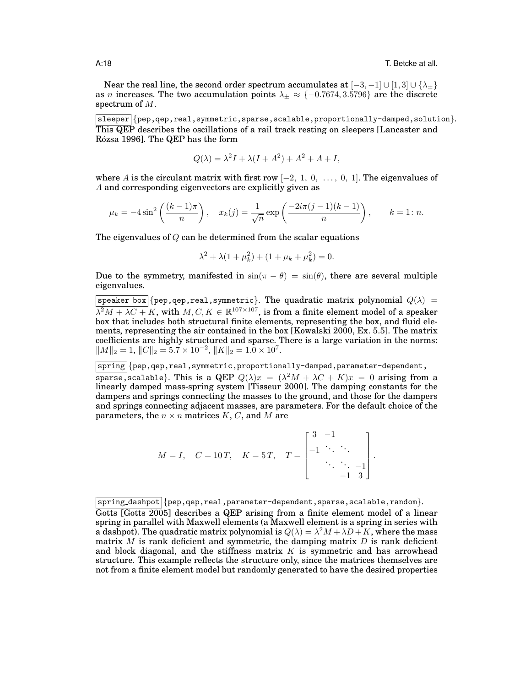Near the real line, the second order spectrum accumulates at  $[-3, -1] \cup [1, 3] \cup {\lambda_{\pm}}$ as *n* increases. The two accumulation points  $\lambda_{\pm} \approx \{-0.7674, 3.5796\}$  are the discrete spectrum of M.

 $|\text{sleeper}| \{\text{pep},\text{qep},\text{real},\text{symmetric},\text{sparse},\text{scalable},\text{proportionally-damped},\text{solution}\}.$ This QEP describes the oscillations of a rail track resting on sleepers [Lancaster and Rózsa 1996]. The QEP has the form

$$
Q(\lambda) = \lambda^2 I + \lambda (I + A^2) + A^2 + A + I,
$$

where A is the circulant matrix with first row  $[-2, 1, 0, \ldots, 0, 1]$ . The eigenvalues of A and corresponding eigenvectors are explicitly given as

$$
\mu_k = -4\sin^2\left(\frac{(k-1)\pi}{n}\right), \quad x_k(j) = \frac{1}{\sqrt{n}}\exp\left(\frac{-2i\pi(j-1)(k-1)}{n}\right), \qquad k = 1: n.
$$

The eigenvalues of  $Q$  can be determined from the scalar equations

$$
\lambda^2 + \lambda (1 + \mu_k^2) + (1 + \mu_k + \mu_k^2) = 0.
$$

Due to the symmetry, manifested in  $\sin(\pi - \theta) = \sin(\theta)$ , there are several multiple eigenvalues.

 $|$ speaker\_box $|$ {pep,qep,real,symmetric}. The quadratic matrix polynomial  $Q(\lambda)$  =  $\lambda^2 M + \lambda C + K$ , with  $M, C, K \in \mathbb{R}^{107 \times 107}$ , is from a finite element model of a speaker box that includes both structural finite elements, representing the box, and fluid elements, representing the air contained in the box [Kowalski 2000, Ex. 5.5]. The matrix coefficients are highly structured and sparse. There is a large variation in the norms:  $||M||_2 = 1, ||C||_2 = 5.7 \times 10^{-2}, ||K||_2 = 1.0 \times 10^7.$ 

|spring|{pep,qep,real,symmetric,proportionally-damped,parameter-dependent, sparse,scalable}. This is a QEP  $Q(\lambda)x = (\lambda^2 M + \lambda C + K)x = 0$  arising from a linearly damped mass-spring system [Tisseur 2000]. The damping constants for the dampers and springs connecting the masses to the ground, and those for the dampers and springs connecting adjacent masses, are parameters. For the default choice of the parameters, the  $n \times n$  matrices K, C, and M are

$$
M = I, \quad C = 10 \, \text{T}, \quad K = 5 \, \text{T}, \quad T = \begin{bmatrix} 3 & -1 & & \\ -1 & \ddots & \ddots & \\ & \ddots & \ddots & -1 \\ & & -1 & 3 \end{bmatrix}
$$

.

 $spring\_dash$  {pep,qep,real,parameter-dependent, sparse, scalable, random}.

Gotts [Gotts 2005] describes a QEP arising from a finite element model of a linear spring in parallel with Maxwell elements (a Maxwell element is a spring in series with a dashpot). The quadratic matrix polynomial is  $Q(\lambda) = \lambda^2 M + \lambda D + K$ , where the mass matrix  $M$  is rank deficient and symmetric, the damping matrix  $D$  is rank deficient and block diagonal, and the stiffness matrix  $K$  is symmetric and has arrowhead structure. This example reflects the structure only, since the matrices themselves are not from a finite element model but randomly generated to have the desired properties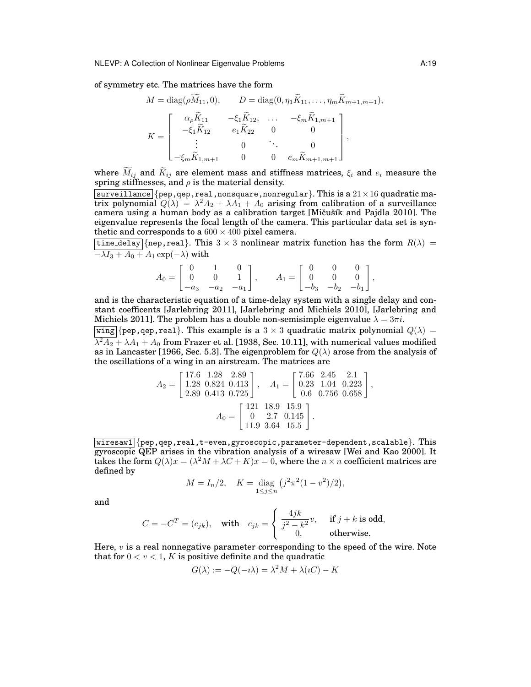of symmetry etc. The matrices have the form

$$
M = \text{diag}(\rho \widetilde{M}_{11}, 0), \qquad D = \text{diag}(0, \eta_1 \widetilde{K}_{11}, \dots, \eta_m \widetilde{K}_{m+1, m+1}),
$$

$$
K = \begin{bmatrix} \alpha_\rho \widetilde{K}_{11} & -\xi_1 \widetilde{K}_{12}, & \dots & -\xi_m \widetilde{K}_{1, m+1} \\ -\xi_1 \widetilde{K}_{12} & e_1 \widetilde{K}_{22} & 0 & 0 \\ \vdots & 0 & \ddots & 0 \\ -\xi_m \widetilde{K}_{1, m+1} & 0 & 0 & e_m \widetilde{K}_{m+1, m+1} \end{bmatrix},
$$

where  $\widetilde{M}_{ij}$  and  $\widetilde{K}_{ij}$  are element mass and stiffness matrices,  $\xi_i$  and  $e_i$  measure the spring stiffnesses, and  $\rho$  is the material density.

surveillance {pep, qep, real, nonsquare, nonregular}. This is a  $21 \times 16$  quadratic matrix polynomial  $Q(\lambda) = \lambda^2 A_2 + \lambda A_1 + A_0$  arising from calibration of a surveillance camera using a human body as a calibration target [Mičušík and Pajdla 2010]. The eigenvalue represents the focal length of the camera. This particular data set is synthetic and corresponds to a  $600 \times 400$  pixel camera.

 $\boxed{\text{time-delay}}$  {nep, real}. This 3 × 3 nonlinear matrix function has the form  $R(\lambda)$  =  $-\lambda I_3 + A_0 + A_1 \exp(-\lambda)$  with

$$
A_0 = \begin{bmatrix} 0 & 1 & 0 \\ 0 & 0 & 1 \\ -a_3 & -a_2 & -a_1 \end{bmatrix}, \qquad A_1 = \begin{bmatrix} 0 & 0 & 0 \\ 0 & 0 & 0 \\ -b_3 & -b_2 & -b_1 \end{bmatrix},
$$

and is the characteristic equation of a time-delay system with a single delay and constant coefficents [Jarlebring 2011], [Jarlebring and Michiels 2010], [Jarlebring and Michiels 2011]. The problem has a double non-semisimple eigenvalue  $\lambda = 3\pi i$ .

 $\overline{wing}$  {pep, qep, real}. This example is a 3  $\times$  3 quadratic matrix polynomial  $Q(\lambda)$  =  $\lambda^2 A_2 + \lambda A_1 + A_0$  from Frazer et al. [1938, Sec. 10.11], with numerical values modified as in Lancaster [1966, Sec. 5.3]. The eigenproblem for  $Q(\lambda)$  arose from the analysis of the oscillations of a wing in an airstream. The matrices are

$$
A_2 = \begin{bmatrix} 17.6 & 1.28 & 2.89 \\ 1.28 & 0.824 & 0.413 \\ 2.89 & 0.413 & 0.725 \end{bmatrix}, \quad A_1 = \begin{bmatrix} 7.66 & 2.45 & 2.1 \\ 0.23 & 1.04 & 0.223 \\ 0.6 & 0.756 & 0.658 \end{bmatrix},
$$

$$
A_0 = \begin{bmatrix} 121 & 18.9 & 15.9 \\ 0 & 2.7 & 0.145 \\ 11.9 & 3.64 & 15.5 \end{bmatrix}.
$$

 $wiresaw1$  {pep, qep, real, t-even, gyroscopic, parameter-dependent, scalable}. This gyroscopic QEP arises in the vibration analysis of a wiresaw [Wei and Kao 2000]. It takes the form  $Q(\lambda)x = (\lambda^2 M + \lambda C + K)x = 0$ , where the  $n \times n$  coefficient matrices are defined by

$$
M = I_n/2, \quad K = \text{diag}_{1 \le j \le n} (j^2 \pi^2 (1 - v^2)/2),
$$

and

$$
C = -C^{T} = (c_{jk}), \text{ with } c_{jk} = \begin{cases} \frac{4jk}{j^{2} - k^{2}}v, & \text{if } j + k \text{ is odd,} \\ 0, & \text{otherwise.} \end{cases}
$$

Here,  $v$  is a real nonnegative parameter corresponding to the speed of the wire. Note that for  $0 < v < 1$ , K is positive definite and the quadratic

$$
G(\lambda) := -Q(-i\lambda) = \lambda^2 M + \lambda(iC) - K
$$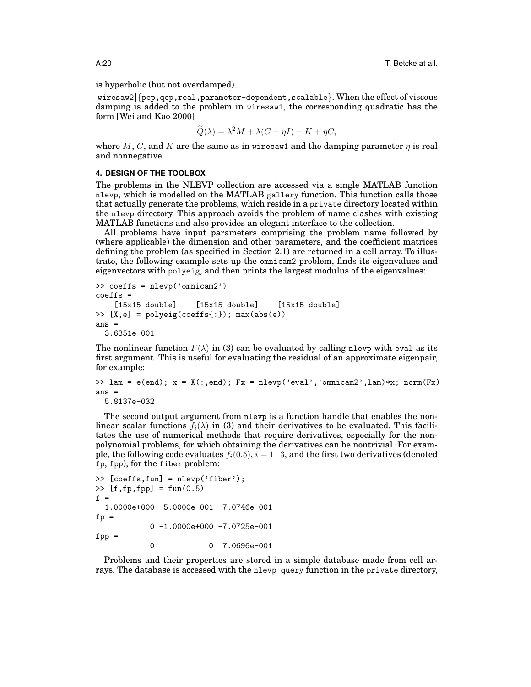is hyperbolic (but not overdamped).

wiresaw2  $\{pep, qep, real, parameter-dependent, scalable\}$ . When the effect of viscous damping is added to the problem in wiresaw1, the corresponding quadratic has the form [Wei and Kao 2000]

$$
\widetilde{Q}(\lambda) = \lambda^2 M + \lambda (C + \eta I) + K + \eta C,
$$

where M, C, and K are the same as in wiresaw1 and the damping parameter  $\eta$  is real and nonnegative.

#### **4. DESIGN OF THE TOOLBOX**

The problems in the NLEVP collection are accessed via a single MATLAB function nlevp, which is modelled on the MATLAB gallery function. This function calls those that actually generate the problems, which reside in a private directory located within the nlevp directory. This approach avoids the problem of name clashes with existing MATLAB functions and also provides an elegant interface to the collection.

All problems have input parameters comprising the problem name followed by (where applicable) the dimension and other parameters, and the coefficient matrices defining the problem (as specified in Section  $\overline{2.1}$ ) are returned in a cell array. To illustrate, the following example sets up the omnicam2 problem, finds its eigenvalues and eigenvectors with polyeig, and then prints the largest modulus of the eigenvalues:

```
>> coeffs = nlevp('omnicam2')
coeffs =[15x15 double] [15x15 double] [15x15 double]
\Rightarrow [X,e] = polyeig(coeffs{:}); max(abs(e))
ans =3.6351e-001
```
The nonlinear function  $F(\lambda)$  in (3) can be evaluated by calling nlevp with eval as its first argument. This is useful for evaluating the residual of an approximate eigenpair, for example:

```
\Rightarrow lam = e(end); x = X(:,end); Fx = nlevp('eval','omnicam2',lam)*x; norm(Fx)
ans =
```

```
5.8137e-032
```
The second output argument from nlevp is a function handle that enables the nonlinear scalar functions  $f_i(\lambda)$  in (3) and their derivatives to be evaluated. This facilitates the use of numerical methods that require derivatives, especially for the nonpolynomial problems, for which obtaining the derivatives can be nontrivial. For example, the following code evaluates  $f_i(0.5)$ ,  $i = 1: 3$ , and the first two derivatives (denoted fp, fpp), for the fiber problem:

```
>> [coeffs,fun] = nlevp('fiber');
\gg [f,fp,fpp] = fun(0.5)
f =1.0000e+000 -5.0000e-001 -7.0746e-001
fp =0 -1.0000e+000 -7.0725e-001
fpp =0 7.0696e-001
```
Problems and their properties are stored in a simple database made from cell arrays. The database is accessed with the nlevp\_query function in the private directory,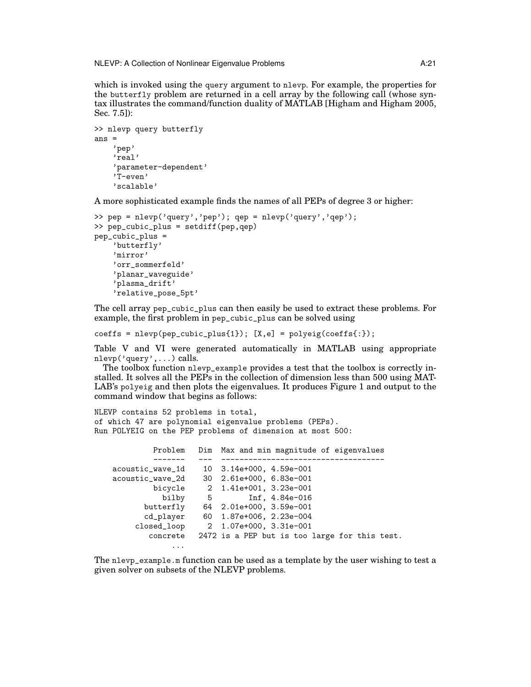NLEVP: A Collection of Nonlinear Eigenvalue Problems **A:21** A:21

which is invoked using the query argument to nlevp. For example, the properties for the butterfly problem are returned in a cell array by the following call (whose syntax illustrates the command/function duality of MATLAB [Higham and Higham 2005, Sec. 7.5]):

```
>> nlevp query butterfly
ans ='pep'
    'real'
    'parameter-dependent'
    'T-even'
    'scalable'
```
A more sophisticated example finds the names of all PEPs of degree 3 or higher:

```
>> pep = nlevp('query','pep'); qep = nlevp('query','qep');
>> pep_cubic_plus = setdiff(pep,qep)
pep_cubic_plus =
    'butterfly'
    'mirror'
    'orr_sommerfeld'
    'planar_waveguide'
    'plasma_drift'
    'relative_pose_5pt'
```
The cell array pep\_cubic\_plus can then easily be used to extract these problems. For example, the first problem in pep\_cubic\_plus can be solved using

 $coeffs = nlevp(pep\_cubic\_plus{1});$   $[X,e] = polyeig(coeffs{:})$ ;

Table V and VI were generated automatically in MATLAB using appropriate nlevp('query',...) calls.

The toolbox function nlevp\_example provides a test that the toolbox is correctly installed. It solves all the PEPs in the collection of dimension less than 500 using MAT-LAB's polyeig and then plots the eigenvalues. It produces Figure 1 and output to the command window that begins as follows:

NLEVP contains 52 problems in total, of which 47 are polynomial eigenvalue problems (PEPs). Run POLYEIG on the PEP problems of dimension at most 500:

| Problem          |   | Dim Max and min magnitude of eigenvalues      |
|------------------|---|-----------------------------------------------|
|                  |   |                                               |
| acoustic_wave_1d |   | 10 3.14e+000, 4.59e-001                       |
| acoustic_wave_2d |   | 30 2.61e+000, 6.83e-001                       |
| bicycle          |   | 2 1.41e+001, 3.23e-001                        |
| bilby            | 5 | Inf, $4.84e-016$                              |
| butterfly        |   | 64 2.01e+000, 3.59e-001                       |
| cd_player        |   | 60 1.87e+006, 2.23e-004                       |
| closed_loop      |   | 2 1.07e+000, 3.31e-001                        |
| concrete         |   | 2472 is a PEP but is too large for this test. |
| $\cdots$         |   |                                               |

The nlevp\_example.m function can be used as a template by the user wishing to test a given solver on subsets of the NLEVP problems.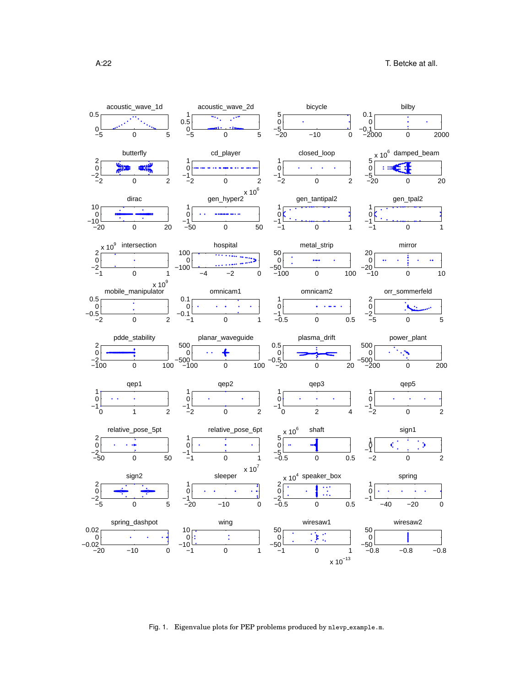

Fig. 1. Eigenvalue plots for PEP problems produced by nlevp example.m.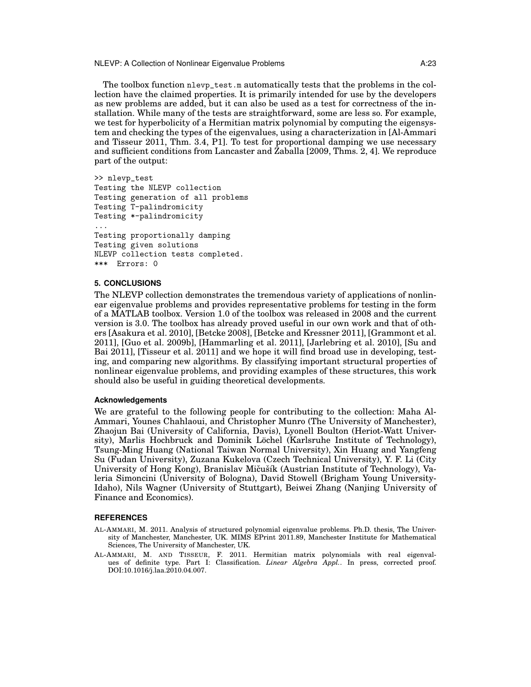NLEVP: A Collection of Nonlinear Eigenvalue Problems **A:23** A:23

The toolbox function nlevp\_test.m automatically tests that the problems in the collection have the claimed properties. It is primarily intended for use by the developers as new problems are added, but it can also be used as a test for correctness of the installation. While many of the tests are straightforward, some are less so. For example, we test for hyperbolicity of a Hermitian matrix polynomial by computing the eigensystem and checking the types of the eigenvalues, using a characterization in [Al-Ammari and Tisseur 2011, Thm. 3.4, P1]. To test for proportional damping we use necessary and sufficient conditions from Lancaster and Zaballa [2009, Thms. 2, 4]. We reproduce part of the output:

```
>> nlevp_test
Testing the NLEVP collection
Testing generation of all problems
Testing T-palindromicity
Testing *-palindromicity
...
Testing proportionally damping
Testing given solutions
NLEVP collection tests completed.
*** Errors: 0
```
#### **5. CONCLUSIONS**

The NLEVP collection demonstrates the tremendous variety of applications of nonlinear eigenvalue problems and provides representative problems for testing in the form of a MATLAB toolbox. Version 1.0 of the toolbox was released in 2008 and the current version is 3.0. The toolbox has already proved useful in our own work and that of others [Asakura et al. 2010], [Betcke 2008], [Betcke and Kressner 2011], [Grammont et al. 2011], [Guo et al. 2009b], [Hammarling et al. 2011], [Jarlebring et al. 2010], [Su and Bai 2011], [Tisseur et al. 2011] and we hope it will find broad use in developing, testing, and comparing new algorithms. By classifying important structural properties of nonlinear eigenvalue problems, and providing examples of these structures, this work should also be useful in guiding theoretical developments.

#### **Acknowledgements**

We are grateful to the following people for contributing to the collection: Maha Al-Ammari, Younes Chahlaoui, and Christopher Munro (The University of Manchester), Zhaojun Bai (University of California, Davis), Lyonell Boulton (Heriot-Watt University), Marlis Hochbruck and Dominik Löchel (Karlsruhe Institute of Technology), Tsung-Ming Huang (National Taiwan Normal University), Xin Huang and Yangfeng Su (Fudan University), Zuzana Kukelova (Czech Technical University), Y. F. Li (City University of Hong Kong), Branislav Mičušík (Austrian Institute of Technology), Valeria Simoncini (University of Bologna), David Stowell (Brigham Young University-Idaho), Nils Wagner (University of Stuttgart), Beiwei Zhang (Nanjing University of Finance and Economics).

#### **REFERENCES**

- AL-AMMARI, M. 2011. Analysis of structured polynomial eigenvalue problems. Ph.D. thesis, The University of Manchester, Manchester, UK. MIMS EPrint 2011.89, Manchester Institute for Mathematical Sciences, The University of Manchester, UK.
- AL-AMMARI, M. AND TISSEUR, F. 2011. Hermitian matrix polynomials with real eigenvalues of definite type. Part I: Classification. *Linear Algebra Appl.*. In press, corrected proof. DOI:10.1016/j.laa.2010.04.007.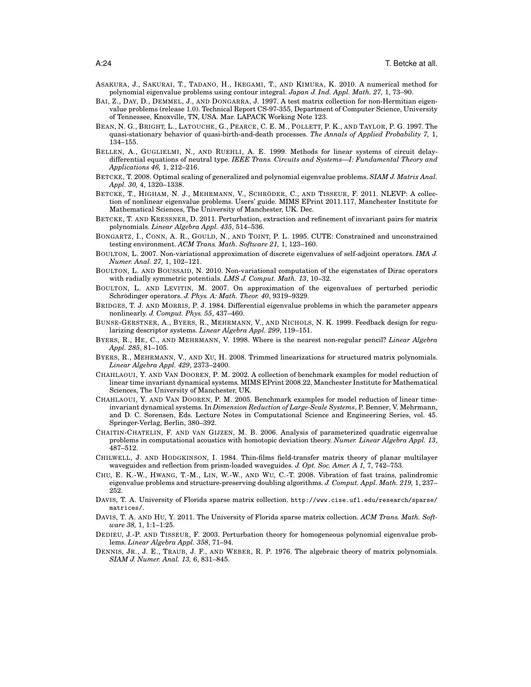- ASAKURA, J., SAKURAI, T., TADANO, H., IKEGAMI, T., AND KIMURA, K. 2010. A numerical method for polynomial eigenvalue problems using contour integral. *Japan J. Ind. Appl. Math. 27,* 1, 73–90.
- BAI, Z., DAY, D., DEMMEL, J., AND DONGARRA, J. 1997. A test matrix collection for non-Hermitian eigenvalue problems (release 1.0). Technical Report CS-97-355, Department of Computer Science, University of Tennessee, Knoxville, TN, USA. Mar. LAPACK Working Note 123.
- BEAN, N. G., BRIGHT, L., LATOUCHE, G., PEARCE, C. E. M., POLLETT, P. K., AND TAYLOR, P. G. 1997. The quasi-stationary behavior of quasi-birth-and-death processes. *The Annals of Applied Probability 7,* 1, 134–155.
- BELLEN, A., GUGLIELMI, N., AND RUEHLI, A. E. 1999. Methods for linear systems of circuit delaydifferential equations of neutral type. *IEEE Trans. Circuits and Systems—I: Fundamental Theory and Applications 46,* 1, 212–216.
- BETCKE, T. 2008. Optimal scaling of generalized and polynomial eigenvalue problems. *SIAM J. Matrix Anal. Appl. 30,* 4, 1320–1338.
- BETCKE, T., HIGHAM, N. J., MEHRMANN, V., SCHRÖDER, C., AND TISSEUR, F. 2011. NLEVP: A collection of nonlinear eigenvalue problems. Users' guide. MIMS EPrint 2011.117, Manchester Institute for Mathematical Sciences, The University of Manchester, UK. Dec.
- BETCKE, T. AND KRESSNER, D. 2011. Perturbation, extraction and refinement of invariant pairs for matrix polynomials. *Linear Algebra Appl. 435*, 514–536.
- BONGARTZ, I., CONN, A. R., GOULD, N., AND TOINT, P. L. 1995. CUTE: Constrained and unconstrained testing environment. *ACM Trans. Math. Software 21,* 1, 123–160.
- BOULTON, L. 2007. Non-variational approximation of discrete eigenvalues of self-adjoint operators. *IMA J. Numer. Anal. 27,* 1, 102–121.
- BOULTON, L. AND BOUSSAID, N. 2010. Non-variational computation of the eigenstates of Dirac operators with radially symmetric potentials. *LMS J. Comput. Math. 13*, 10–32.
- BOULTON, L. AND LEVITIN, M. 2007. On approximation of the eigenvalues of perturbed periodic Schrödinger operators. J. Phys. A: Math. Theor. 40, 9319-9329.
- BRIDGES, T. J. AND MORRIS, P. J. 1984. Differential eigenvalue problems in which the parameter appears nonlinearly. *J. Comput. Phys. 55*, 437–460.
- BUNSE-GERSTNER, A., BYERS, R., MEHRMANN, V., AND NICHOLS, N. K. 1999. Feedback design for regularizing descriptor systems. *Linear Algebra Appl. 299*, 119–151.
- BYERS, R., HE, C., AND MEHRMANN, V. 1998. Where is the nearest non-regular pencil? *Linear Algebra Appl. 285*, 81–105.
- BYERS, R., MEHRMANN, V., AND XU, H. 2008. Trimmed linearizations for structured matrix polynomials. *Linear Algebra Appl. 429*, 2373–2400.
- CHAHLAOUI, Y. AND VAN DOOREN, P. M. 2002. A collection of benchmark examples for model reduction of linear time invariant dynamical systems. MIMS EPrint 2008.22, Manchester Institute for Mathematical Sciences, The University of Manchester, UK.
- CHAHLAOUI, Y. AND VAN DOOREN, P. M. 2005. Benchmark examples for model reduction of linear timeinvariant dynamical systems. In *Dimension Reduction of Large-Scale Systems*, P. Benner, V. Mehrmann, and D. C. Sorensen, Eds. Lecture Notes in Computational Science and Engineering Series, vol. 45. Springer-Verlag, Berlin, 380–392.
- CHAITIN-CHATELIN, F. AND VAN GIJZEN, M. B. 2006. Analysis of parameterized quadratic eigenvalue problems in computational acoustics with homotopic deviation theory. *Numer. Linear Algebra Appl. 13*, 487–512.
- CHILWELL, J. AND HODGKINSON, I. 1984. Thin-films field-transfer matrix theory of planar multilayer waveguides and reflection from prism-loaded waveguides. *J. Opt. Soc. Amer. A 1,* 7, 742–753.
- CHU, E. K.-W., HWANG, T.-M., LIN, W.-W., AND WU, C.-T. 2008. Vibration of fast trains, palindromic eigenvalue problems and structure-preserving doubling algorithms. *J. Comput. Appl. Math. 219,* 1, 237– 252.
- DAVIS, T. A. University of Florida sparse matrix collection. http://www.cise.ufl.edu/research/sparse/ matrices/.
- DAVIS, T. A. AND HU, Y. 2011. The University of Florida sparse matrix collection. *ACM Trans. Math. Software 38,* 1, 1:1–1:25.
- DEDIEU, J.-P. AND TISSEUR, F. 2003. Perturbation theory for homogeneous polynomial eigenvalue problems. *Linear Algebra Appl. 358*, 71–94.
- DENNIS, JR., J. E., TRAUB, J. F., AND WEBER, R. P. 1976. The algebraic theory of matrix polynomials. *SIAM J. Numer. Anal. 13,* 6, 831–845.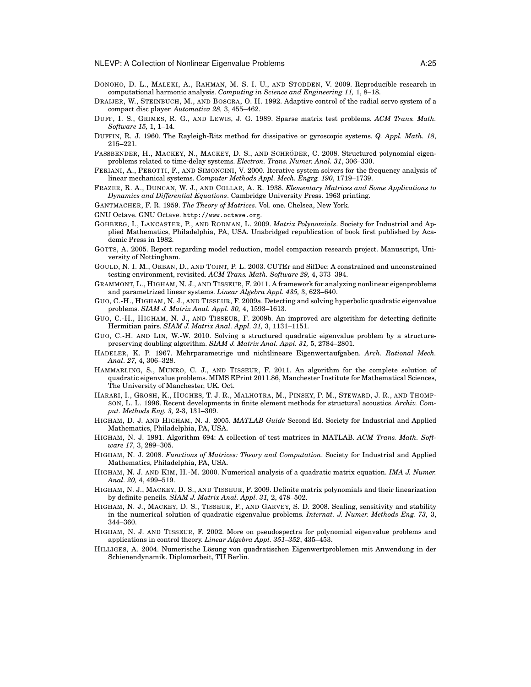- DONOHO, D. L., MALEKI, A., RAHMAN, M. S. I. U., AND STODDEN, V. 2009. Reproducible research in computational harmonic analysis. *Computing in Science and Engineering 11,* 1, 8–18.
- DRAIJER, W., STEINBUCH, M., AND BOSGRA, O. H. 1992. Adaptive control of the radial servo system of a compact disc player. *Automatica 28,* 3, 455–462.
- DUFF, I. S., GRIMES, R. G., AND LEWIS, J. G. 1989. Sparse matrix test problems. *ACM Trans. Math. Software 15,* 1, 1–14.
- DUFFIN, R. J. 1960. The Rayleigh-Ritz method for dissipative or gyroscopic systems. *Q. Appl. Math. 18*, 215–221.
- FASSBENDER, H., MACKEY, N., MACKEY, D. S., AND SCHRÖDER, C. 2008. Structured polynomial eigenproblems related to time-delay systems. *Electron. Trans. Numer. Anal. 31*, 306–330.
- FERIANI, A., PEROTTI, F., AND SIMONCINI, V. 2000. Iterative system solvers for the frequency analysis of linear mechanical systems. *Computer Methods Appl. Mech. Engrg. 190*, 1719–1739.
- FRAZER, R. A., DUNCAN, W. J., AND COLLAR, A. R. 1938. *Elementary Matrices and Some Applications to Dynamics and Differential Equations*. Cambridge University Press. 1963 printing.
- GANTMACHER, F. R. 1959. *The Theory of Matrices*. Vol. one. Chelsea, New York.
- GNU Octave. GNU Octave. http://www.octave.org.
- GOHBERG, I., LANCASTER, P., AND RODMAN, L. 2009. *Matrix Polynomials*. Society for Industrial and Applied Mathematics, Philadelphia, PA, USA. Unabridged republication of book first published by Academic Press in 1982.
- GOTTS, A. 2005. Report regarding model reduction, model compaction research project. Manuscript, University of Nottingham.
- GOULD, N. I. M., ORBAN, D., AND TOINT, P. L. 2003. CUTEr and SifDec: A constrained and unconstrained testing environment, revisited. *ACM Trans. Math. Software 29,* 4, 373–394.
- GRAMMONT, L., HIGHAM, N. J., AND TISSEUR, F. 2011. A framework for analyzing nonlinear eigenproblems and parametrized linear systems. *Linear Algebra Appl. 435,* 3, 623–640.
- GUO, C.-H., HIGHAM, N. J., AND TISSEUR, F. 2009a. Detecting and solving hyperbolic quadratic eigenvalue problems. *SIAM J. Matrix Anal. Appl. 30,* 4, 1593–1613.
- GUO, C.-H., HIGHAM, N. J., AND TISSEUR, F. 2009b. An improved arc algorithm for detecting definite Hermitian pairs. *SIAM J. Matrix Anal. Appl. 31,* 3, 1131–1151.
- GUO, C.-H. AND LIN, W.-W. 2010. Solving a structured quadratic eigenvalue problem by a structurepreserving doubling algorithm. *SIAM J. Matrix Anal. Appl. 31,* 5, 2784–2801.
- HADELER, K. P. 1967. Mehrparametrige und nichtlineare Eigenwertaufgaben. *Arch. Rational Mech. Anal. 27,* 4, 306–328.
- HAMMARLING, S., MUNRO, C. J., AND TISSEUR, F. 2011. An algorithm for the complete solution of quadratic eigenvalue problems. MIMS EPrint 2011.86, Manchester Institute for Mathematical Sciences, The University of Manchester, UK. Oct.
- HARARI, I., GROSH, K., HUGHES, T. J. R., MALHOTRA, M., PINSKY, P. M., STEWARD, J. R., AND THOMP-SON, L. L. 1996. Recent developments in finite element methods for structural acoustics. *Archiv. Comput. Methods Eng. 3,* 2-3, 131–309.
- HIGHAM, D. J. AND HIGHAM, N. J. 2005. *MATLAB Guide* Second Ed. Society for Industrial and Applied Mathematics, Philadelphia, PA, USA.
- HIGHAM, N. J. 1991. Algorithm 694: A collection of test matrices in MATLAB. *ACM Trans. Math. Software 17,* 3, 289–305.
- HIGHAM, N. J. 2008. *Functions of Matrices: Theory and Computation*. Society for Industrial and Applied Mathematics, Philadelphia, PA, USA.
- HIGHAM, N. J. AND KIM, H.-M. 2000. Numerical analysis of a quadratic matrix equation. *IMA J. Numer. Anal. 20,* 4, 499–519.
- HIGHAM, N. J., MACKEY, D. S., AND TISSEUR, F. 2009. Definite matrix polynomials and their linearization by definite pencils. *SIAM J. Matrix Anal. Appl. 31,* 2, 478–502.
- HIGHAM, N. J., MACKEY, D. S., TISSEUR, F., AND GARVEY, S. D. 2008. Scaling, sensitivity and stability in the numerical solution of quadratic eigenvalue problems. *Internat. J. Numer. Methods Eng. 73,* 3, 344–360.
- HIGHAM, N. J. AND TISSEUR, F. 2002. More on pseudospectra for polynomial eigenvalue problems and applications in control theory. *Linear Algebra Appl. 351–352*, 435–453.
- HILLIGES, A. 2004. Numerische Lösung von quadratischen Eigenwertproblemen mit Anwendung in der Schienendynamik. Diplomarbeit, TU Berlin.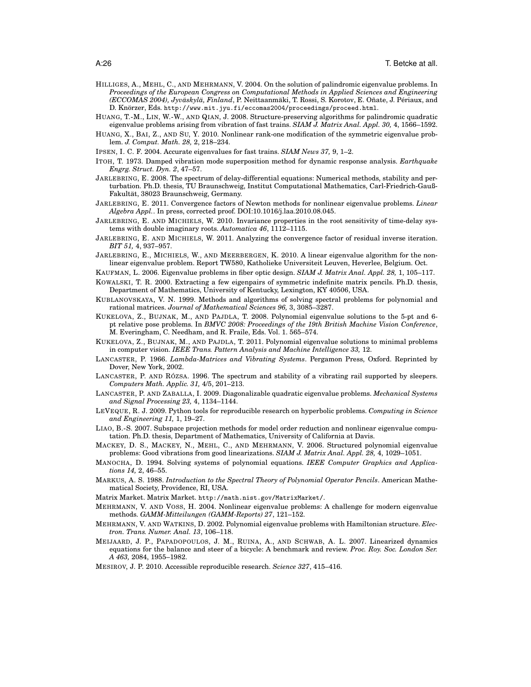- HILLIGES, A., MEHL, C., AND MEHRMANN, V. 2004. On the solution of palindromic eigenvalue problems. In *Proceedings of the European Congress on Computational Methods in Applied Sciences and Engineering (ECCOMAS 2004), Jyväskylä, Finland*, P. Neittaanmäki, T. Rossi, S. Korotov, E. Oñate, J. Périaux, and D. Knörzer, Eds. http://www.mit.jyu.fi/eccomas2004/proceedings/proceed.html.
- HUANG, T.-M., LIN, W.-W., AND QIAN, J. 2008. Structure-preserving algorithms for palindromic quadratic eigenvalue problems arising from vibration of fast trains. *SIAM J. Matrix Anal. Appl. 30,* 4, 1566–1592.
- HUANG, X., BAI, Z., AND SU, Y. 2010. Nonlinear rank-one modification of the symmetric eigenvalue problem. *J. Comput. Math. 28,* 2, 218–234.
- IPSEN, I. C. F. 2004. Accurate eigenvalues for fast trains. *SIAM News 37,* 9, 1–2.
- ITOH, T. 1973. Damped vibration mode superposition method for dynamic response analysis. *Earthquake Engrg. Struct. Dyn. 2*, 47–57.
- JARLEBRING, E. 2008. The spectrum of delay-differential equations: Numerical methods, stability and perturbation. Ph.D. thesis, TU Braunschweig, Institut Computational Mathematics, Carl-Friedrich-Gauß-Fakultät, 38023 Braunschweig, Germany.
- JARLEBRING, E. 2011. Convergence factors of Newton methods for nonlinear eigenvalue problems. *Linear Algebra Appl.*. In press, corrected proof. DOI:10.1016/j.laa.2010.08.045.
- JARLEBRING, E. AND MICHIELS, W. 2010. Invariance properties in the root sensitivity of time-delay systems with double imaginary roots. *Automatica 46*, 1112–1115.
- JARLEBRING, E. AND MICHIELS, W. 2011. Analyzing the convergence factor of residual inverse iteration. *BIT 51,* 4, 937–957.
- JARLEBRING, E., MICHIELS, W., AND MEERBERGEN, K. 2010. A linear eigenvalue algorithm for the nonlinear eigenvalue problem. Report TW580, Katholieke Universiteit Leuven, Heverlee, Belgium. Oct.
- KAUFMAN, L. 2006. Eigenvalue problems in fiber optic design. *SIAM J. Matrix Anal. Appl. 28,* 1, 105–117.
- KOWALSKI, T. R. 2000. Extracting a few eigenpairs of symmetric indefinite matrix pencils. Ph.D. thesis, Department of Mathematics, University of Kentucky, Lexington, KY 40506, USA.
- KUBLANOVSKAYA, V. N. 1999. Methods and algorithms of solving spectral problems for polynomial and rational matrices. *Journal of Mathematical Sciences 96,* 3, 3085–3287.
- KUKELOVA, Z., BUJNAK, M., AND PAJDLA, T. 2008. Polynomial eigenvalue solutions to the 5-pt and 6 pt relative pose problems. In *BMVC 2008: Proceedings of the 19th British Machine Vision Conference*, M. Everingham, C. Needham, and R. Fraile, Eds. Vol. 1. 565–574.
- KUKELOVA, Z., BUJNAK, M., AND PAJDLA, T. 2011. Polynomial eigenvalue solutions to minimal problems in computer vision. *IEEE Trans. Pattern Analysis and Machine Intelligence 33,* 12.
- LANCASTER, P. 1966. *Lambda-Matrices and Vibrating Systems*. Pergamon Press, Oxford. Reprinted by Dover, New York, 2002.
- LANCASTER, P. AND RÓZSA. 1996. The spectrum and stability of a vibrating rail supported by sleepers. *Computers Math. Applic. 31,* 4/5, 201–213.
- LANCASTER, P. AND ZABALLA, I. 2009. Diagonalizable quadratic eigenvalue problems. *Mechanical Systems and Signal Processing 23,* 4, 1134–1144.
- LEVEQUE, R. J. 2009. Python tools for reproducible research on hyperbolic problems. *Computing in Science and Engineering 11,* 1, 19–27.
- LIAO, B.-S. 2007. Subspace projection methods for model order reduction and nonlinear eigenvalue computation. Ph.D. thesis, Department of Mathematics, University of California at Davis.
- MACKEY, D. S., MACKEY, N., MEHL, C., AND MEHRMANN, V. 2006. Structured polynomial eigenvalue problems: Good vibrations from good linearizations. *SIAM J. Matrix Anal. Appl. 28,* 4, 1029–1051.
- MANOCHA, D. 1994. Solving systems of polynomial equations. *IEEE Computer Graphics and Applications 14,* 2, 46–55.
- MARKUS, A. S. 1988. *Introduction to the Spectral Theory of Polynomial Operator Pencils*. American Mathematical Society, Providence, RI, USA.
- Matrix Market. Matrix Market. http://math.nist.gov/MatrixMarket/.
- MEHRMANN, V. AND VOSS, H. 2004. Nonlinear eigenvalue problems: A challenge for modern eigenvalue methods. *GAMM-Mitteilungen (GAMM-Reports) 27*, 121–152.
- MEHRMANN, V. AND WATKINS, D. 2002. Polynomial eigenvalue problems with Hamiltonian structure. *Electron. Trans. Numer. Anal. 13*, 106–118.
- MEIJAARD, J. P., PAPADOPOULOS, J. M., RUINA, A., AND SCHWAB, A. L. 2007. Linearized dynamics equations for the balance and steer of a bicycle: A benchmark and review. *Proc. Roy. Soc. London Ser. A 463,* 2084, 1955–1982.
- MESIROV, J. P. 2010. Accessible reproducible research. *Science 327*, 415–416.